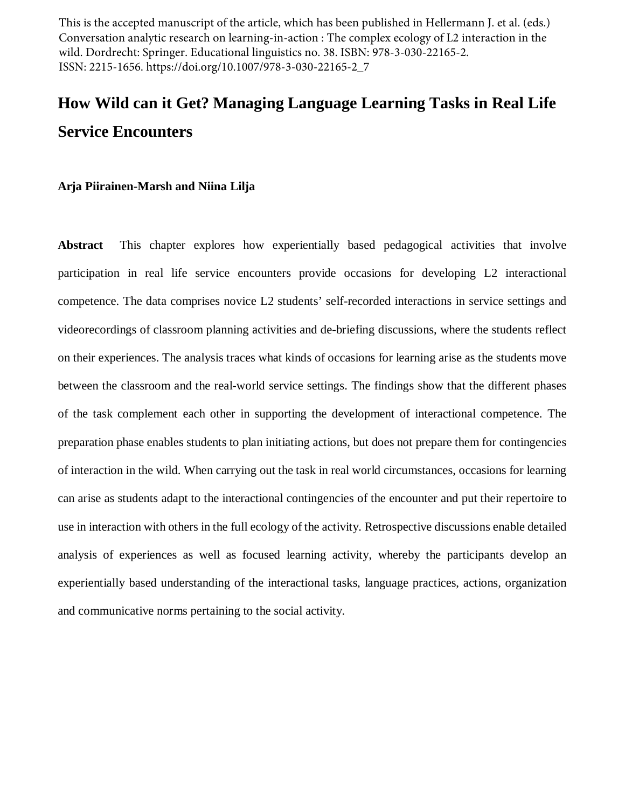This is the accepted manuscript of the article, which has been published in Hellermann J. et al. (eds.) Conversation analytic research on learning-in-action : The complex ecology of L2 interaction in the wild. Dordrecht: Springer. Educational linguistics no. 38. ISBN: 978-3-030-22165-2. ISSN: 2215-1656. https://doi.org/10.1007/978-3-030-22165-2\_7

# **How Wild can it Get? Managing Language Learning Tasks in Real Life Service Encounters**

#### **Arja Piirainen-Marsh and Niina Lilja**

**Abstract** This chapter explores how experientially based pedagogical activities that involve participation in real life service encounters provide occasions for developing L2 interactional competence. The data comprises novice L2 students' self-recorded interactions in service settings and videorecordings of classroom planning activities and de-briefing discussions, where the students reflect on their experiences. The analysis traces what kinds of occasions for learning arise as the students move between the classroom and the real-world service settings. The findings show that the different phases of the task complement each other in supporting the development of interactional competence. The preparation phase enables students to plan initiating actions, but does not prepare them for contingencies of interaction in the wild. When carrying out the task in real world circumstances, occasions for learning can arise as students adapt to the interactional contingencies of the encounter and put their repertoire to use in interaction with others in the full ecology of the activity. Retrospective discussions enable detailed analysis of experiences as well as focused learning activity, whereby the participants develop an experientially based understanding of the interactional tasks, language practices, actions, organization and communicative norms pertaining to the social activity.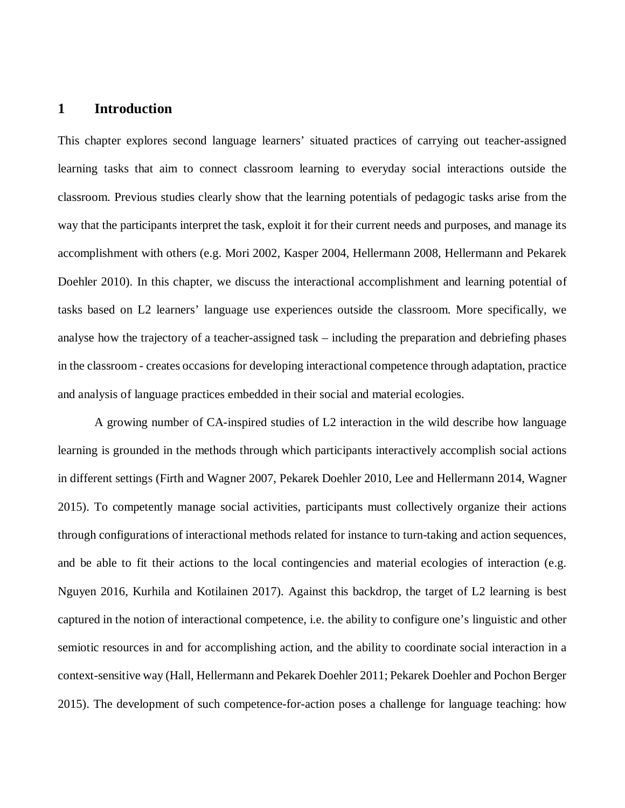### **1 Introduction**

This chapter explores second language learners' situated practices of carrying out teacher-assigned learning tasks that aim to connect classroom learning to everyday social interactions outside the classroom. Previous studies clearly show that the learning potentials of pedagogic tasks arise from the way that the participants interpret the task, exploit it for their current needs and purposes, and manage its accomplishment with others (e.g. Mori 2002, Kasper 2004, Hellermann 2008, Hellermann and Pekarek Doehler 2010). In this chapter, we discuss the interactional accomplishment and learning potential of tasks based on L2 learners' language use experiences outside the classroom. More specifically, we analyse how the trajectory of a teacher-assigned task – including the preparation and debriefing phases in the classroom - creates occasions for developing interactional competence through adaptation, practice and analysis of language practices embedded in their social and material ecologies.

A growing number of CA-inspired studies of L2 interaction in the wild describe how language learning is grounded in the methods through which participants interactively accomplish social actions in different settings (Firth and Wagner 2007, Pekarek Doehler 2010, Lee and Hellermann 2014, Wagner 2015). To competently manage social activities, participants must collectively organize their actions through configurations of interactional methods related for instance to turn-taking and action sequences, and be able to fit their actions to the local contingencies and material ecologies of interaction (e.g. Nguyen 2016, Kurhila and Kotilainen 2017). Against this backdrop, the target of L2 learning is best captured in the notion of interactional competence, i.e. the ability to configure one's linguistic and other semiotic resources in and for accomplishing action, and the ability to coordinate social interaction in a context-sensitive way (Hall, Hellermann and Pekarek Doehler 2011; Pekarek Doehler and Pochon Berger 2015). The development of such competence-for-action poses a challenge for language teaching: how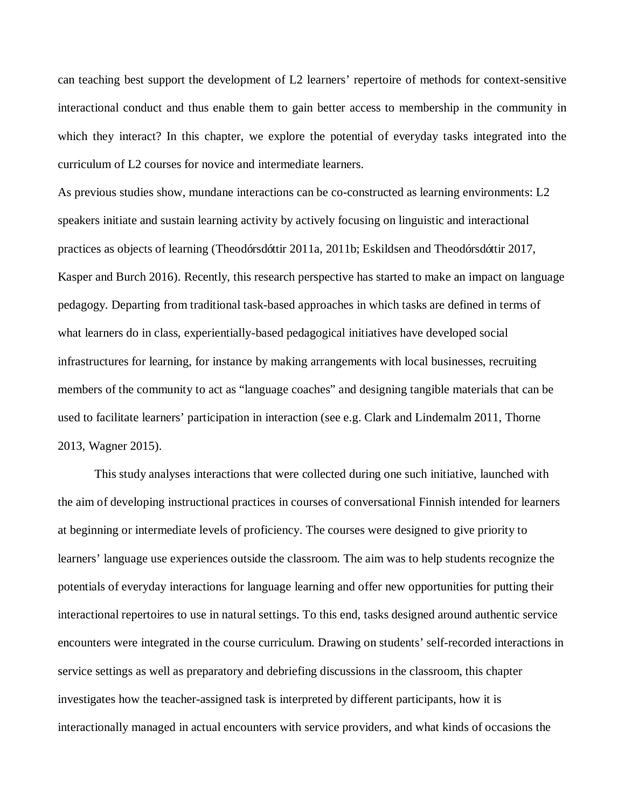can teaching best support the development of L2 learners' repertoire of methods for context-sensitive interactional conduct and thus enable them to gain better access to membership in the community in which they interact? In this chapter, we explore the potential of everyday tasks integrated into the curriculum of L2 courses for novice and intermediate learners.

As previous studies show, mundane interactions can be co-constructed as learning environments: L2 speakers initiate and sustain learning activity by actively focusing on linguistic and interactional practices as objects of learning (Theodórsdóttir 2011a, 2011b; Eskildsen and Theodórsdóttir 2017, Kasper and Burch 2016). Recently, this research perspective has started to make an impact on language pedagogy. Departing from traditional task-based approaches in which tasks are defined in terms of what learners do in class, experientially-based pedagogical initiatives have developed social infrastructures for learning, for instance by making arrangements with local businesses, recruiting members of the community to act as "language coaches" and designing tangible materials that can be used to facilitate learners' participation in interaction (see e.g. Clark and Lindemalm 2011, Thorne 2013, Wagner 2015).

This study analyses interactions that were collected during one such initiative, launched with the aim of developing instructional practices in courses of conversational Finnish intended for learners at beginning or intermediate levels of proficiency. The courses were designed to give priority to learners' language use experiences outside the classroom. The aim was to help students recognize the potentials of everyday interactions for language learning and offer new opportunities for putting their interactional repertoires to use in natural settings. To this end, tasks designed around authentic service encounters were integrated in the course curriculum. Drawing on students' self-recorded interactions in service settings as well as preparatory and debriefing discussions in the classroom, this chapter investigates how the teacher-assigned task is interpreted by different participants, how it is interactionally managed in actual encounters with service providers, and what kinds of occasions the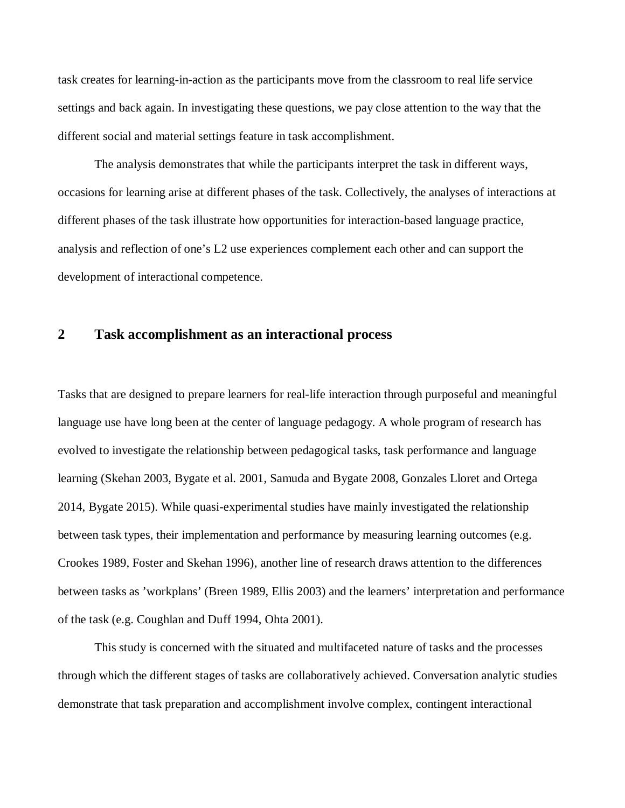task creates for learning-in-action as the participants move from the classroom to real life service settings and back again. In investigating these questions, we pay close attention to the way that the different social and material settings feature in task accomplishment.

The analysis demonstrates that while the participants interpret the task in different ways, occasions for learning arise at different phases of the task. Collectively, the analyses of interactions at different phases of the task illustrate how opportunities for interaction-based language practice, analysis and reflection of one's L2 use experiences complement each other and can support the development of interactional competence.

### **2 Task accomplishment as an interactional process**

Tasks that are designed to prepare learners for real-life interaction through purposeful and meaningful language use have long been at the center of language pedagogy. A whole program of research has evolved to investigate the relationship between pedagogical tasks, task performance and language learning (Skehan 2003, Bygate et al. 2001, Samuda and Bygate 2008, Gonzales Lloret and Ortega 2014, Bygate 2015). While quasi-experimental studies have mainly investigated the relationship between task types, their implementation and performance by measuring learning outcomes (e.g. Crookes 1989, Foster and Skehan 1996), another line of research draws attention to the differences between tasks as 'workplans' (Breen 1989, Ellis 2003) and the learners' interpretation and performance of the task (e.g. Coughlan and Duff 1994, Ohta 2001).

This study is concerned with the situated and multifaceted nature of tasks and the processes through which the different stages of tasks are collaboratively achieved. Conversation analytic studies demonstrate that task preparation and accomplishment involve complex, contingent interactional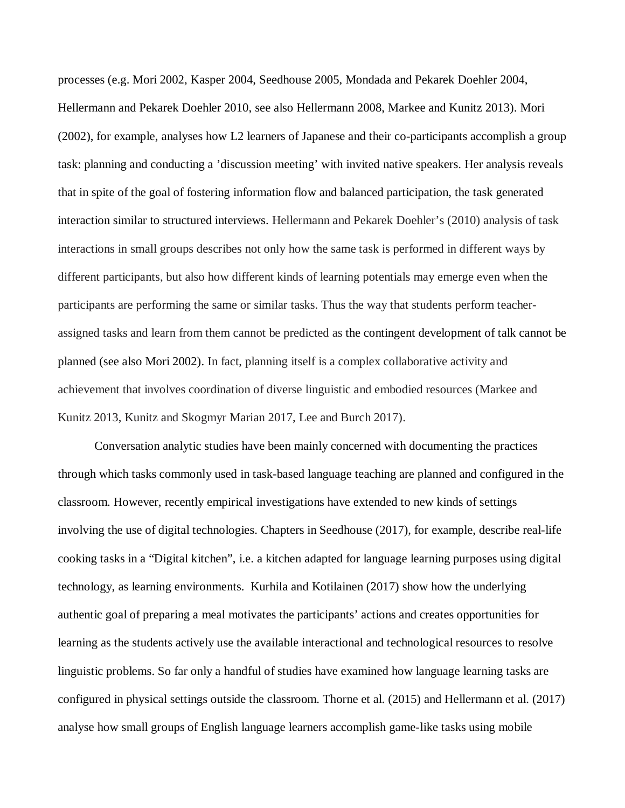processes (e.g. Mori 2002, Kasper 2004, Seedhouse 2005, Mondada and Pekarek Doehler 2004, Hellermann and Pekarek Doehler 2010, see also Hellermann 2008, Markee and Kunitz 2013). Mori (2002), for example, analyses how L2 learners of Japanese and their co-participants accomplish a group task: planning and conducting a 'discussion meeting' with invited native speakers. Her analysis reveals that in spite of the goal of fostering information flow and balanced participation, the task generated interaction similar to structured interviews. Hellermann and Pekarek Doehler's (2010) analysis of task interactions in small groups describes not only how the same task is performed in different ways by different participants, but also how different kinds of learning potentials may emerge even when the participants are performing the same or similar tasks. Thus the way that students perform teacherassigned tasks and learn from them cannot be predicted as the contingent development of talk cannot be planned (see also Mori 2002). In fact, planning itself is a complex collaborative activity and achievement that involves coordination of diverse linguistic and embodied resources (Markee and Kunitz 2013, Kunitz and Skogmyr Marian 2017, Lee and Burch 2017).

Conversation analytic studies have been mainly concerned with documenting the practices through which tasks commonly used in task-based language teaching are planned and configured in the classroom. However, recently empirical investigations have extended to new kinds of settings involving the use of digital technologies. Chapters in Seedhouse (2017), for example, describe real-life cooking tasks in a "Digital kitchen", i.e. a kitchen adapted for language learning purposes using digital technology, as learning environments. Kurhila and Kotilainen (2017) show how the underlying authentic goal of preparing a meal motivates the participants' actions and creates opportunities for learning as the students actively use the available interactional and technological resources to resolve linguistic problems. So far only a handful of studies have examined how language learning tasks are configured in physical settings outside the classroom. Thorne et al. (2015) and Hellermann et al. (2017) analyse how small groups of English language learners accomplish game-like tasks using mobile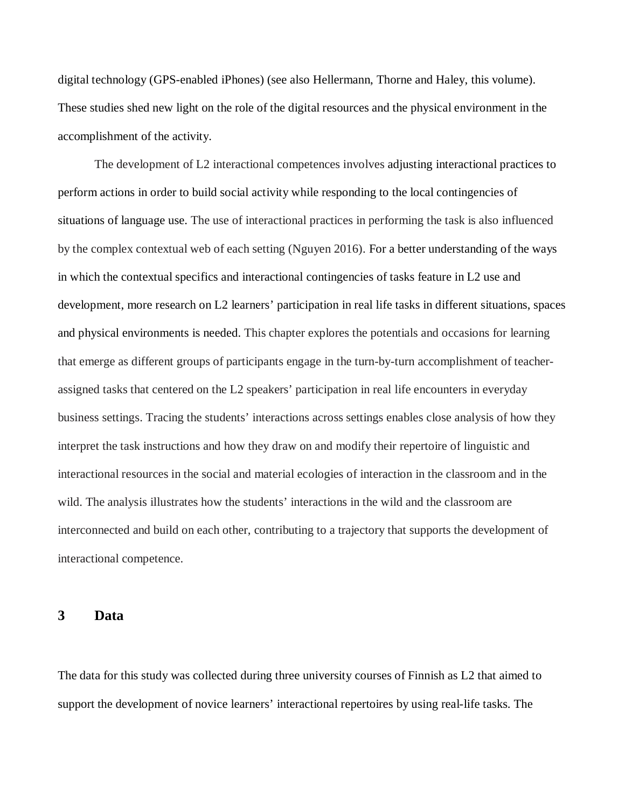digital technology (GPS-enabled iPhones) (see also Hellermann, Thorne and Haley, this volume). These studies shed new light on the role of the digital resources and the physical environment in the accomplishment of the activity.

The development of L2 interactional competences involves adjusting interactional practices to perform actions in order to build social activity while responding to the local contingencies of situations of language use. The use of interactional practices in performing the task is also influenced by the complex contextual web of each setting (Nguyen 2016). For a better understanding of the ways in which the contextual specifics and interactional contingencies of tasks feature in L2 use and development, more research on L2 learners' participation in real life tasks in different situations, spaces and physical environments is needed. This chapter explores the potentials and occasions for learning that emerge as different groups of participants engage in the turn-by-turn accomplishment of teacherassigned tasks that centered on the L2 speakers' participation in real life encounters in everyday business settings. Tracing the students' interactions across settings enables close analysis of how they interpret the task instructions and how they draw on and modify their repertoire of linguistic and interactional resources in the social and material ecologies of interaction in the classroom and in the wild. The analysis illustrates how the students' interactions in the wild and the classroom are interconnected and build on each other, contributing to a trajectory that supports the development of interactional competence.

### **3 Data**

The data for this study was collected during three university courses of Finnish as L2 that aimed to support the development of novice learners' interactional repertoires by using real-life tasks. The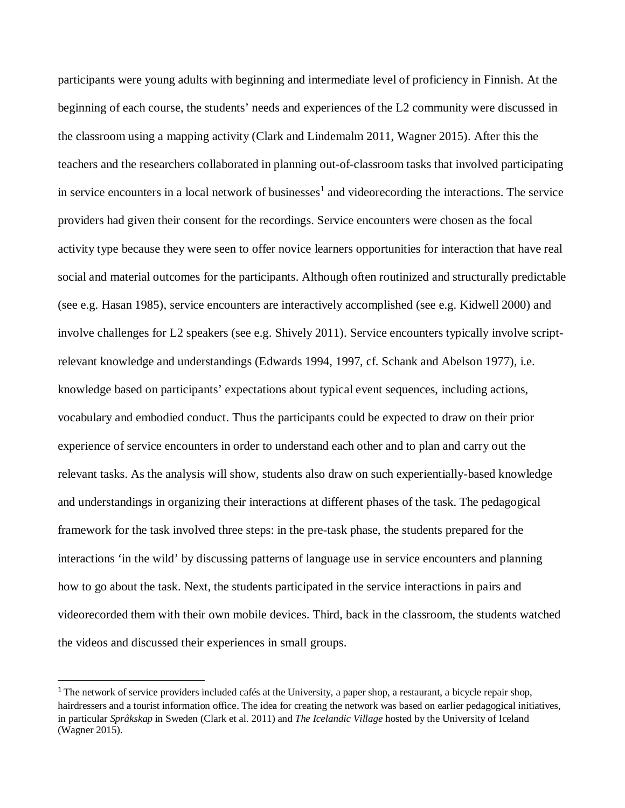participants were young adults with beginning and intermediate level of proficiency in Finnish. At the beginning of each course, the students' needs and experiences of the L2 community were discussed in the classroom using a mapping activity (Clark and Lindemalm 2011, Wagner 2015). After this the teachers and the researchers collaborated in planning out-of-classroom tasks that involved participating in service encounters in a local network of businesses<sup>[1](#page-6-0)</sup> and videorecording the interactions. The service providers had given their consent for the recordings. Service encounters were chosen as the focal activity type because they were seen to offer novice learners opportunities for interaction that have real social and material outcomes for the participants. Although often routinized and structurally predictable (see e.g. Hasan 1985), service encounters are interactively accomplished (see e.g. Kidwell 2000) and involve challenges for L2 speakers (see e.g. Shively 2011). Service encounters typically involve scriptrelevant knowledge and understandings (Edwards 1994, 1997, cf. Schank and Abelson 1977), i.e. knowledge based on participants' expectations about typical event sequences, including actions, vocabulary and embodied conduct. Thus the participants could be expected to draw on their prior experience of service encounters in order to understand each other and to plan and carry out the relevant tasks. As the analysis will show, students also draw on such experientially-based knowledge and understandings in organizing their interactions at different phases of the task. The pedagogical framework for the task involved three steps: in the pre-task phase, the students prepared for the interactions 'in the wild' by discussing patterns of language use in service encounters and planning how to go about the task. Next, the students participated in the service interactions in pairs and videorecorded them with their own mobile devices. Third, back in the classroom, the students watched the videos and discussed their experiences in small groups.

<span id="page-6-0"></span><sup>&</sup>lt;sup>1</sup> The network of service providers included cafés at the University, a paper shop, a restaurant, a bicycle repair shop, hairdressers and a tourist information office. The idea for creating the network was based on earlier pedagogical initiatives, in particular *Språkskap* in Sweden (Clark et al. 2011) and *The Icelandic Village* hosted by the University of Iceland (Wagner 2015).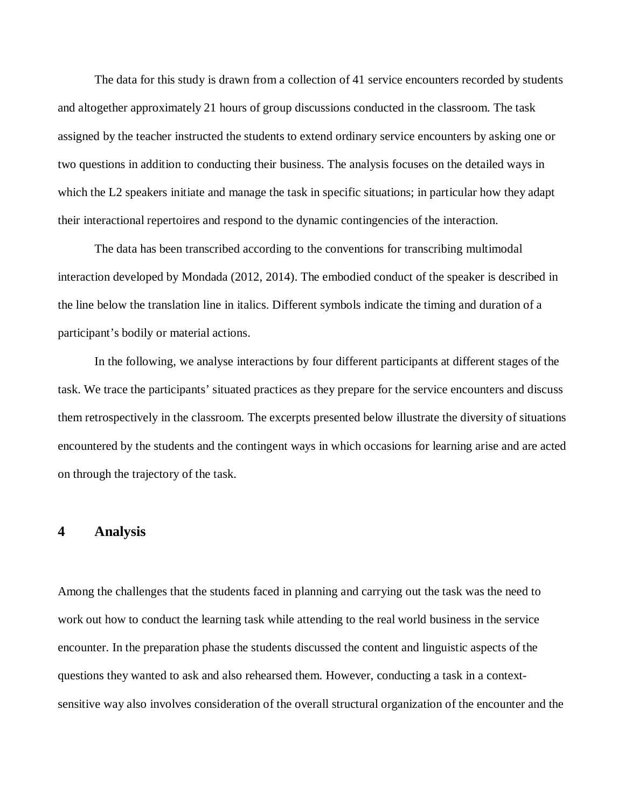The data for this study is drawn from a collection of 41 service encounters recorded by students and altogether approximately 21 hours of group discussions conducted in the classroom. The task assigned by the teacher instructed the students to extend ordinary service encounters by asking one or two questions in addition to conducting their business. The analysis focuses on the detailed ways in which the L2 speakers initiate and manage the task in specific situations; in particular how they adapt their interactional repertoires and respond to the dynamic contingencies of the interaction.

The data has been transcribed according to the conventions for transcribing multimodal interaction developed by Mondada (2012, 2014). The embodied conduct of the speaker is described in the line below the translation line in italics. Different symbols indicate the timing and duration of a participant's bodily or material actions.

In the following, we analyse interactions by four different participants at different stages of the task. We trace the participants' situated practices as they prepare for the service encounters and discuss them retrospectively in the classroom. The excerpts presented below illustrate the diversity of situations encountered by the students and the contingent ways in which occasions for learning arise and are acted on through the trajectory of the task.

#### **4 Analysis**

Among the challenges that the students faced in planning and carrying out the task was the need to work out how to conduct the learning task while attending to the real world business in the service encounter. In the preparation phase the students discussed the content and linguistic aspects of the questions they wanted to ask and also rehearsed them. However, conducting a task in a contextsensitive way also involves consideration of the overall structural organization of the encounter and the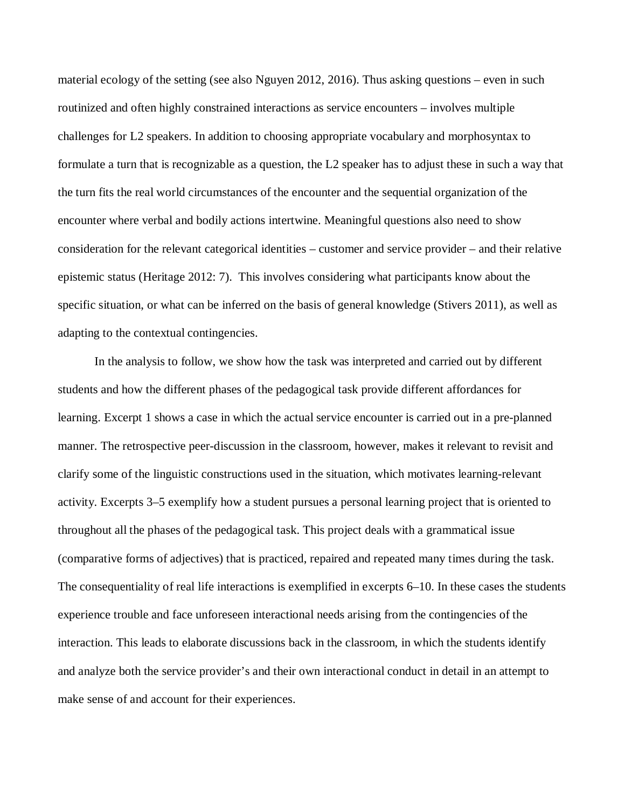material ecology of the setting (see also Nguyen 2012, 2016). Thus asking questions – even in such routinized and often highly constrained interactions as service encounters – involves multiple challenges for L2 speakers. In addition to choosing appropriate vocabulary and morphosyntax to formulate a turn that is recognizable as a question, the L2 speaker has to adjust these in such a way that the turn fits the real world circumstances of the encounter and the sequential organization of the encounter where verbal and bodily actions intertwine. Meaningful questions also need to show consideration for the relevant categorical identities – customer and service provider – and their relative epistemic status (Heritage 2012: 7). This involves considering what participants know about the specific situation, or what can be inferred on the basis of general knowledge (Stivers 2011), as well as adapting to the contextual contingencies.

In the analysis to follow, we show how the task was interpreted and carried out by different students and how the different phases of the pedagogical task provide different affordances for learning. Excerpt 1 shows a case in which the actual service encounter is carried out in a pre-planned manner. The retrospective peer-discussion in the classroom, however, makes it relevant to revisit and clarify some of the linguistic constructions used in the situation, which motivates learning-relevant activity. Excerpts 3–5 exemplify how a student pursues a personal learning project that is oriented to throughout all the phases of the pedagogical task. This project deals with a grammatical issue (comparative forms of adjectives) that is practiced, repaired and repeated many times during the task. The consequentiality of real life interactions is exemplified in excerpts 6–10. In these cases the students experience trouble and face unforeseen interactional needs arising from the contingencies of the interaction. This leads to elaborate discussions back in the classroom, in which the students identify and analyze both the service provider's and their own interactional conduct in detail in an attempt to make sense of and account for their experiences.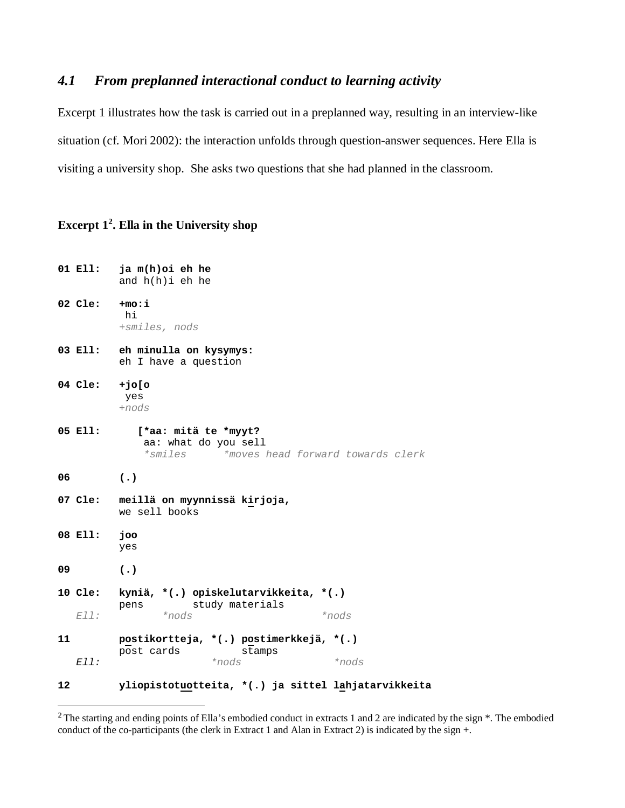# *4.1 From preplanned interactional conduct to learning activity*

Excerpt 1 illustrates how the task is carried out in a preplanned way, resulting in an interview-like situation (cf. Mori 2002): the interaction unfolds through question-answer sequences. Here Ella is visiting a university shop. She asks two questions that she had planned in the classroom.

### **Excerpt 1[2](#page-9-0) . Ella in the University shop**

|    | 01 Ell:         | ja m(h)oi eh he<br>and $h(h)$ i eh he                                                     |
|----|-----------------|-------------------------------------------------------------------------------------------|
|    | 02 Cle:         | $+ \text{mo}: \texttt{i}$<br>hi<br>+smiles, nods                                          |
|    | 03 Ell:         | eh minulla on kysymys:<br>eh I have a question                                            |
|    | 04 Cle:         | o]ot+<br>yes<br>+nods                                                                     |
|    | 05 Ell:         | [*aa: mitä te *myyt?<br>aa: what do you sell<br>*smiles *moves head forward towards clerk |
| 06 |                 | $\left( . \right)$                                                                        |
|    | 07 Cle:         | meillä on myynnissä kirjoja,<br>we sell books                                             |
|    | 08 Ell:         | joo<br>yes                                                                                |
| 09 |                 | $(\cdot)$                                                                                 |
|    | 10 Cle:<br>E11: | kyniä, *(.) opiskelutarvikkeita, *(.)<br>study materials<br>pens<br>$*$ nods<br>*nods     |
| 11 | E11:            | postikortteja, *(.) postimerkkejä, *(.)<br>post cards<br>stamps<br>$*$ nods<br>* nods     |
| 12 |                 | yliopistotuotteita, *(.) ja sittel lahjatarvikkeita                                       |

<span id="page-9-0"></span><sup>&</sup>lt;sup>2</sup> The starting and ending points of Ella's embodied conduct in extracts 1 and 2 are indicated by the sign  $*$ . The embodied conduct of the co-participants (the clerk in Extract 1 and Alan in Extract 2) is indicated by the sign +.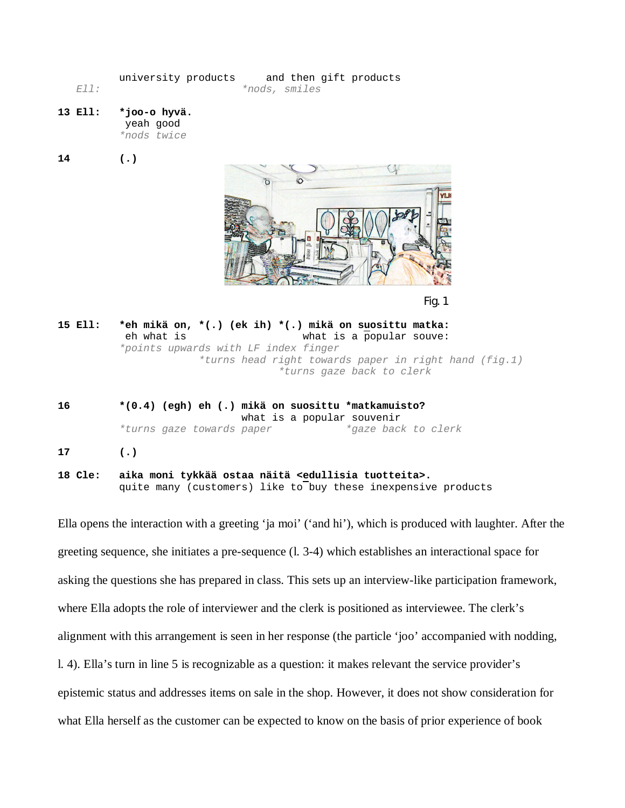|      | university products |               |  | and then gift products |
|------|---------------------|---------------|--|------------------------|
| E11: |                     | *nods, smiles |  |                        |

- **13 Ell: \*joo-o hyvä.** yeah good  *\*nods twice*
- **14 (.)**



Fig. 1

**15 Ell: \*eh mikä on, \*(.) (ek ih) \*(.) mikä on suosittu matka:** eh what is what is a popular souve:  *\*points upwards with LF index finger \*turns head right towards paper in right hand (fig.1) \*turns gaze back to clerk*

| 16 |                               | *(0.4) (egh) eh (.) mikä on suosittu *matkamuisto? |  |                            |  |                     |
|----|-------------------------------|----------------------------------------------------|--|----------------------------|--|---------------------|
|    |                               |                                                    |  | what is a popular souvenir |  |                     |
|    |                               | *turns gaze towards paper                          |  |                            |  | *gaze back to clerk |
| 17 | $\left( \cdot, \cdot \right)$ |                                                    |  |                            |  |                     |

**18 Cle: aika moni tykkää ostaa näitä <edullisia tuotteita>.** quite many (customers) like to buy these inexpensive products

Ella opens the interaction with a greeting 'ja moi' ('and hi'), which is produced with laughter. After the greeting sequence, she initiates a pre-sequence (l. 3-4) which establishes an interactional space for asking the questions she has prepared in class. This sets up an interview-like participation framework, where Ella adopts the role of interviewer and the clerk is positioned as interviewee. The clerk's alignment with this arrangement is seen in her response (the particle 'joo' accompanied with nodding, l. 4). Ella's turn in line 5 is recognizable as a question: it makes relevant the service provider's epistemic status and addresses items on sale in the shop. However, it does not show consideration for what Ella herself as the customer can be expected to know on the basis of prior experience of book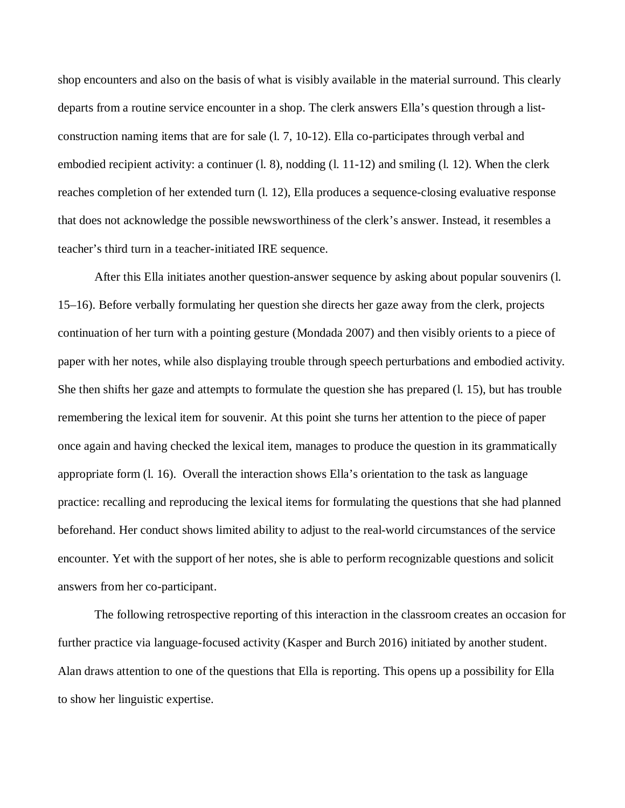shop encounters and also on the basis of what is visibly available in the material surround. This clearly departs from a routine service encounter in a shop. The clerk answers Ella's question through a listconstruction naming items that are for sale (l. 7, 10-12). Ella co-participates through verbal and embodied recipient activity: a continuer (l. 8), nodding (l. 11-12) and smiling (l. 12). When the clerk reaches completion of her extended turn (l. 12), Ella produces a sequence-closing evaluative response that does not acknowledge the possible newsworthiness of the clerk's answer. Instead, it resembles a teacher's third turn in a teacher-initiated IRE sequence.

After this Ella initiates another question-answer sequence by asking about popular souvenirs (l. 15–16). Before verbally formulating her question she directs her gaze away from the clerk, projects continuation of her turn with a pointing gesture (Mondada 2007) and then visibly orients to a piece of paper with her notes, while also displaying trouble through speech perturbations and embodied activity. She then shifts her gaze and attempts to formulate the question she has prepared (l. 15), but has trouble remembering the lexical item for souvenir. At this point she turns her attention to the piece of paper once again and having checked the lexical item, manages to produce the question in its grammatically appropriate form (l. 16). Overall the interaction shows Ella's orientation to the task as language practice: recalling and reproducing the lexical items for formulating the questions that she had planned beforehand. Her conduct shows limited ability to adjust to the real-world circumstances of the service encounter. Yet with the support of her notes, she is able to perform recognizable questions and solicit answers from her co-participant.

The following retrospective reporting of this interaction in the classroom creates an occasion for further practice via language-focused activity (Kasper and Burch 2016) initiated by another student. Alan draws attention to one of the questions that Ella is reporting. This opens up a possibility for Ella to show her linguistic expertise.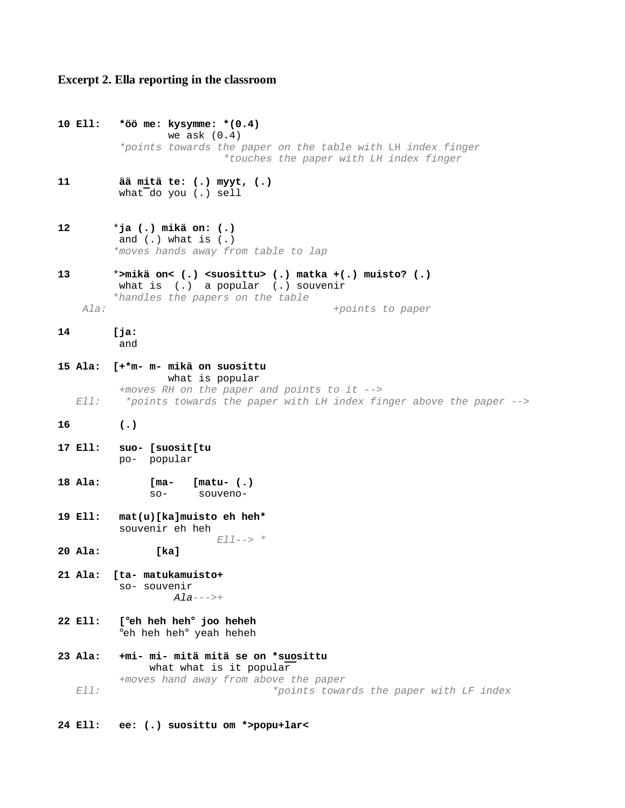#### **Excerpt 2. Ella reporting in the classroom**

- **10 Ell: \*öö me: kysymme: \*(0.4)** we ask  $(0.4)$  *\*points towards the paper on the table with* LH *index finger \*touches the paper with LH index finger* **11 ää mitä te: (.) myyt, (.)** what do you (.) sell **12** \***ja (.) mikä on: (.)** and  $(.)$  what is  $(.)$ *\*moves hands away from table to lap* **13** \***>mikä on< (.) <suosittu> (.) matka +(.) muisto? (.)** what is (.) a popular (.) souvenir \**handles the papers on the table Ala: +points to paper* **14 [ja:** and **15 Ala: [+\*m- m- mikä on suosittu** what is popular  *+moves RH on the paper and points to it --> Ell: \*points towards the paper with LH index finger above the paper -->* **16 (.) 17 Ell: suo- [suosit[tu** po- popular **18 Ala: [ma- [matu- (.)** so- souveno-**19 Ell: mat(u)[ka]muisto eh heh\*** souvenir eh heh  *Ell--> \** **20 Ala: [ka] 21 Ala: [ta- matukamuisto+** so- souvenir *Ala--->+* **22 Ell: [°eh heh heh° joo heheh** °eh heh heh° yeah heheh **23 Ala: +mi- mi- mitä mitä se on \*suosittu** what what is it popular  *+moves hand away from above the paper Ell: \*points towards the paper with LF index*
- **24 Ell: ee: (.) suosittu om \*>popu+lar<**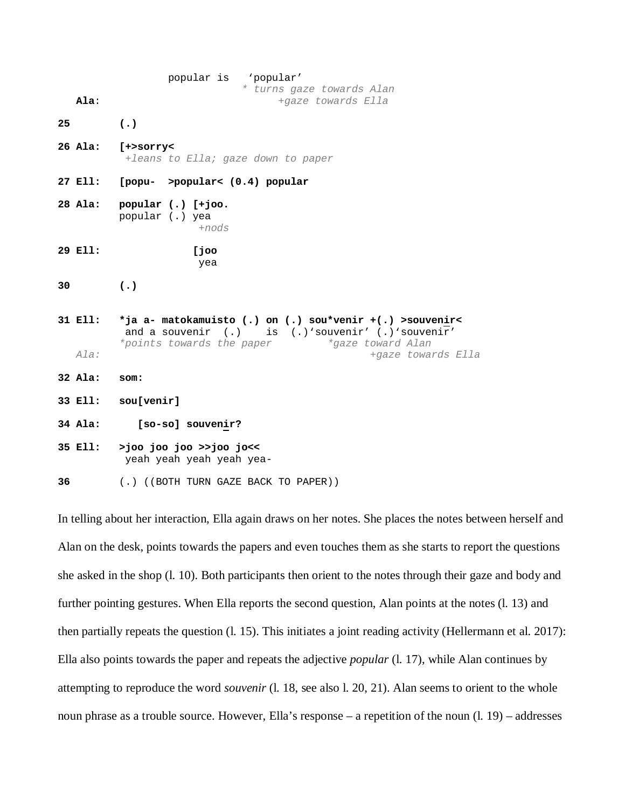popular is 'popular' *\* turns gaze towards Alan*  **Ala**: *+gaze towards Ella* **25 (.) 26 Ala: [+>sorry<** *+leans to Ella; gaze down to paper* **27 Ell: [popu- >popular< (0.4) popular 28 Ala: popular (.) [+joo.** popular (.) yea *+nods* **29 Ell: [joo** yea **30 (.) 31 Ell: \*ja a- matokamuisto (.) on (.) sou\*venir +(.) >souvenir<** and a souvenir (.) is (.)'souvenir' (.)'souvenir' *\*points towards the paper \*gaze toward Alan Ala: +gaze towards Ella* **32 Ala: som: 33 Ell: sou[venir] 34 Ala: [so-so] souvenir? 35 Ell: >joo joo joo >>joo jo<<** yeah yeah yeah yeah yea-**36** (.) ((BOTH TURN GAZE BACK TO PAPER))

In telling about her interaction, Ella again draws on her notes. She places the notes between herself and Alan on the desk, points towards the papers and even touches them as she starts to report the questions she asked in the shop (l. 10). Both participants then orient to the notes through their gaze and body and further pointing gestures. When Ella reports the second question, Alan points at the notes (l. 13) and then partially repeats the question (l. 15). This initiates a joint reading activity (Hellermann et al. 2017): Ella also points towards the paper and repeats the adjective *popular* (l. 17), while Alan continues by attempting to reproduce the word *souvenir* (l. 18, see also l. 20, 21). Alan seems to orient to the whole noun phrase as a trouble source. However, Ella's response – a repetition of the noun (l. 19) – addresses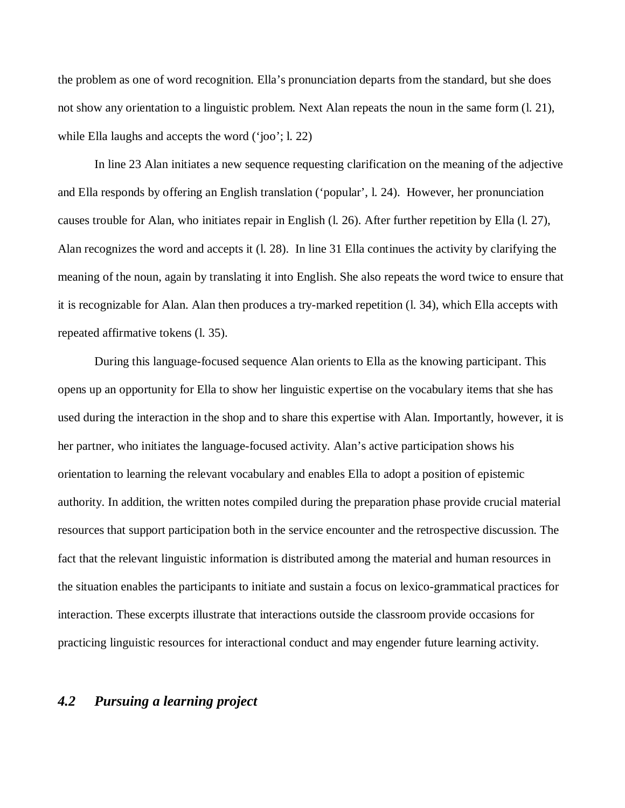the problem as one of word recognition. Ella's pronunciation departs from the standard, but she does not show any orientation to a linguistic problem. Next Alan repeats the noun in the same form (l. 21), while Ella laughs and accepts the word ('joo'; l. 22)

In line 23 Alan initiates a new sequence requesting clarification on the meaning of the adjective and Ella responds by offering an English translation ('popular', l. 24). However, her pronunciation causes trouble for Alan, who initiates repair in English (l. 26). After further repetition by Ella (l. 27), Alan recognizes the word and accepts it (l. 28). In line 31 Ella continues the activity by clarifying the meaning of the noun, again by translating it into English. She also repeats the word twice to ensure that it is recognizable for Alan. Alan then produces a try-marked repetition (l. 34), which Ella accepts with repeated affirmative tokens (l. 35).

During this language-focused sequence Alan orients to Ella as the knowing participant. This opens up an opportunity for Ella to show her linguistic expertise on the vocabulary items that she has used during the interaction in the shop and to share this expertise with Alan. Importantly, however, it is her partner, who initiates the language-focused activity. Alan's active participation shows his orientation to learning the relevant vocabulary and enables Ella to adopt a position of epistemic authority. In addition, the written notes compiled during the preparation phase provide crucial material resources that support participation both in the service encounter and the retrospective discussion. The fact that the relevant linguistic information is distributed among the material and human resources in the situation enables the participants to initiate and sustain a focus on lexico-grammatical practices for interaction. These excerpts illustrate that interactions outside the classroom provide occasions for practicing linguistic resources for interactional conduct and may engender future learning activity.

### *4.2 Pursuing a learning project*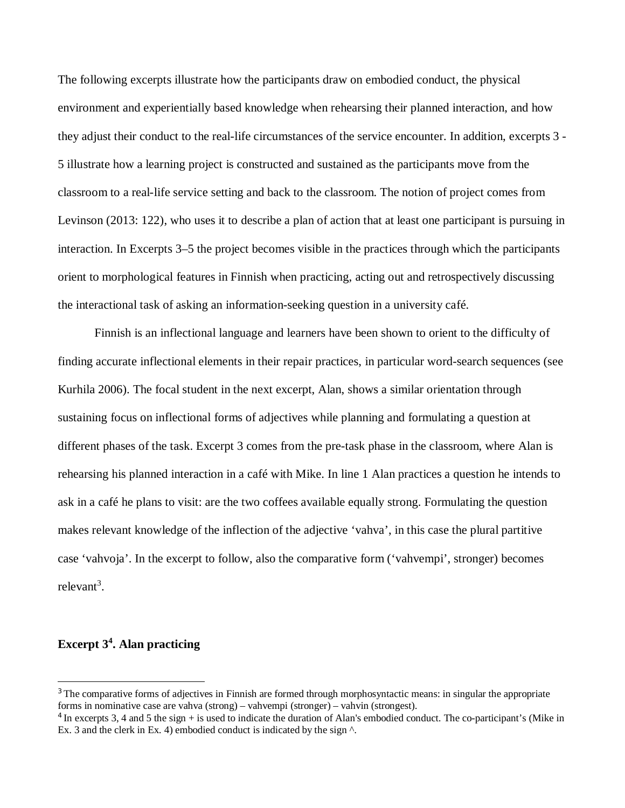The following excerpts illustrate how the participants draw on embodied conduct, the physical environment and experientially based knowledge when rehearsing their planned interaction, and how they adjust their conduct to the real-life circumstances of the service encounter. In addition, excerpts 3 - 5 illustrate how a learning project is constructed and sustained as the participants move from the classroom to a real-life service setting and back to the classroom. The notion of project comes from Levinson (2013: 122), who uses it to describe a plan of action that at least one participant is pursuing in interaction. In Excerpts 3–5 the project becomes visible in the practices through which the participants orient to morphological features in Finnish when practicing, acting out and retrospectively discussing the interactional task of asking an information-seeking question in a university café.

Finnish is an inflectional language and learners have been shown to orient to the difficulty of finding accurate inflectional elements in their repair practices, in particular word-search sequences (see Kurhila 2006). The focal student in the next excerpt, Alan, shows a similar orientation through sustaining focus on inflectional forms of adjectives while planning and formulating a question at different phases of the task. Excerpt 3 comes from the pre-task phase in the classroom, where Alan is rehearsing his planned interaction in a café with Mike. In line 1 Alan practices a question he intends to ask in a café he plans to visit: are the two coffees available equally strong. Formulating the question makes relevant knowledge of the inflection of the adjective 'vahva', in this case the plural partitive case 'vahvoja'. In the excerpt to follow, also the comparative form ('vahvempi', stronger) becomes relevant<sup>[3](#page-15-0)</sup>.

### **Excerpt 3[4](#page-15-1) . Alan practicing**

<span id="page-15-0"></span><sup>&</sup>lt;sup>3</sup> The comparative forms of adjectives in Finnish are formed through morphosyntactic means: in singular the appropriate forms in nominative case are vahva (strong) – vahvempi (stronger) – vahvin (strongest).

<span id="page-15-1"></span><sup>&</sup>lt;sup>4</sup> In excerpts 3, 4 and 5 the sign + is used to indicate the duration of Alan's embodied conduct. The co-participant's (Mike in Ex. 3 and the clerk in Ex. 4) embodied conduct is indicated by the sign ^.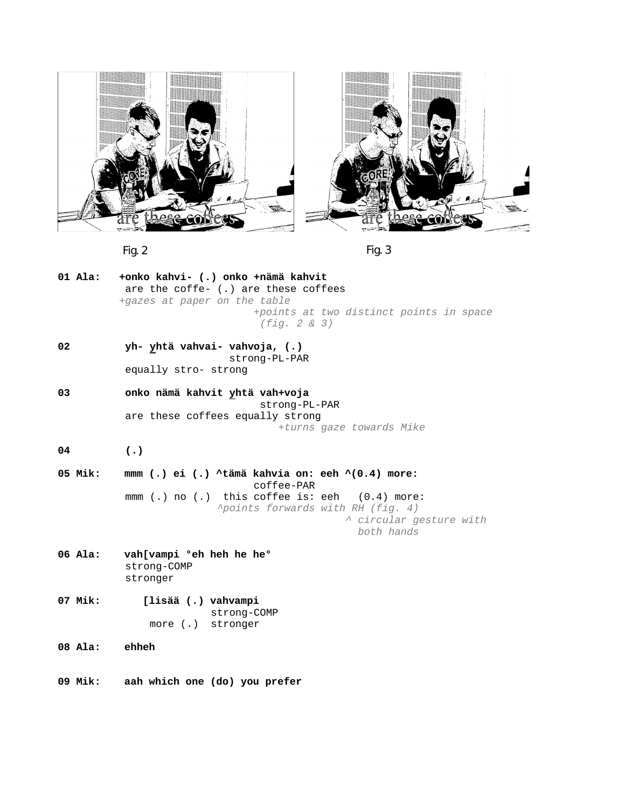

Fig. 2  $\qquad \qquad$  Fig. 3

- **01 Ala: +onko kahvi- (.) onko +nämä kahvit** are the coffe- (.) are these coffees  *+gazes at paper on the table +points at two distinct points in space (fig. 2 & 3)*
- **02 yh- yhtä vahvai- vahvoja, (.)** strong-PL-PAR equally stro- strong
- **03 onko nämä kahvit yhtä vah+voja** strong-PL-PAR are these coffees equally strong  *+turns gaze towards Mike*
- **04 (.)**
- **05 Mik: mmm (.) ei (.) ^tämä kahvia on: eeh ^(0.4) more:** coffee-PAR mmm (.) no (.) this coffee is: eeh (0.4) more:  *^points forwards with RH (fig. 4) ^ circular gesture with both hands*
- **06 Ala: vah[vampi °eh heh he he°** strong-COMP stronger
- **07 Mik: [lisää (.) vahvampi** strong-COMP more (.) stronger
- **08 Ala: ehheh**
- **09 Mik: aah which one (do) you prefer**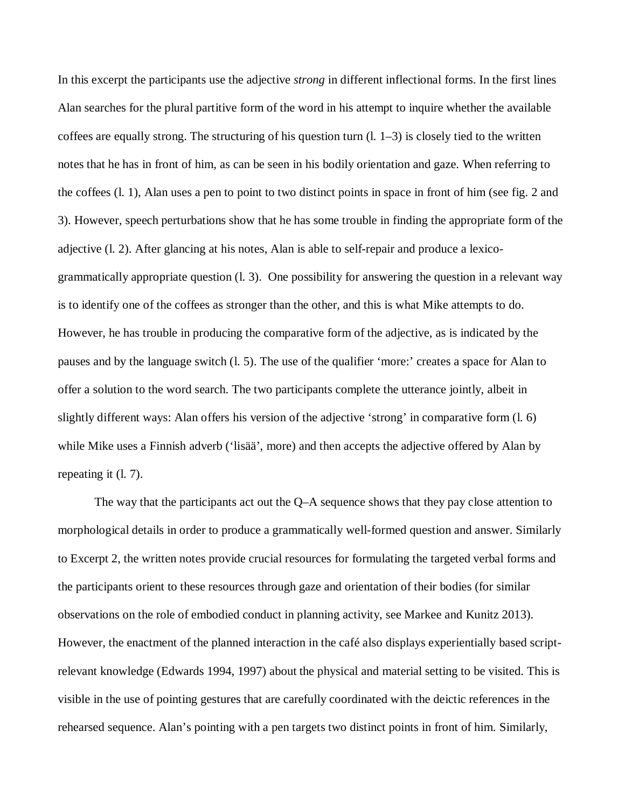In this excerpt the participants use the adjective *strong* in different inflectional forms. In the first lines Alan searches for the plural partitive form of the word in his attempt to inquire whether the available coffees are equally strong. The structuring of his question turn  $(1, 1-3)$  is closely tied to the written notes that he has in front of him, as can be seen in his bodily orientation and gaze. When referring to the coffees (l. 1), Alan uses a pen to point to two distinct points in space in front of him (see fig. 2 and 3). However, speech perturbations show that he has some trouble in finding the appropriate form of the adjective (l. 2). After glancing at his notes, Alan is able to self-repair and produce a lexicogrammatically appropriate question (l. 3). One possibility for answering the question in a relevant way is to identify one of the coffees as stronger than the other, and this is what Mike attempts to do. However, he has trouble in producing the comparative form of the adjective, as is indicated by the pauses and by the language switch (l. 5). The use of the qualifier 'more:' creates a space for Alan to offer a solution to the word search. The two participants complete the utterance jointly, albeit in slightly different ways: Alan offers his version of the adjective 'strong' in comparative form (l. 6) while Mike uses a Finnish adverb ('lisää', more) and then accepts the adjective offered by Alan by repeating it (l. 7).

The way that the participants act out the Q–A sequence shows that they pay close attention to morphological details in order to produce a grammatically well-formed question and answer. Similarly to Excerpt 2, the written notes provide crucial resources for formulating the targeted verbal forms and the participants orient to these resources through gaze and orientation of their bodies (for similar observations on the role of embodied conduct in planning activity, see Markee and Kunitz 2013). However, the enactment of the planned interaction in the café also displays experientially based scriptrelevant knowledge (Edwards 1994, 1997) about the physical and material setting to be visited. This is visible in the use of pointing gestures that are carefully coordinated with the deictic references in the rehearsed sequence. Alan's pointing with a pen targets two distinct points in front of him. Similarly,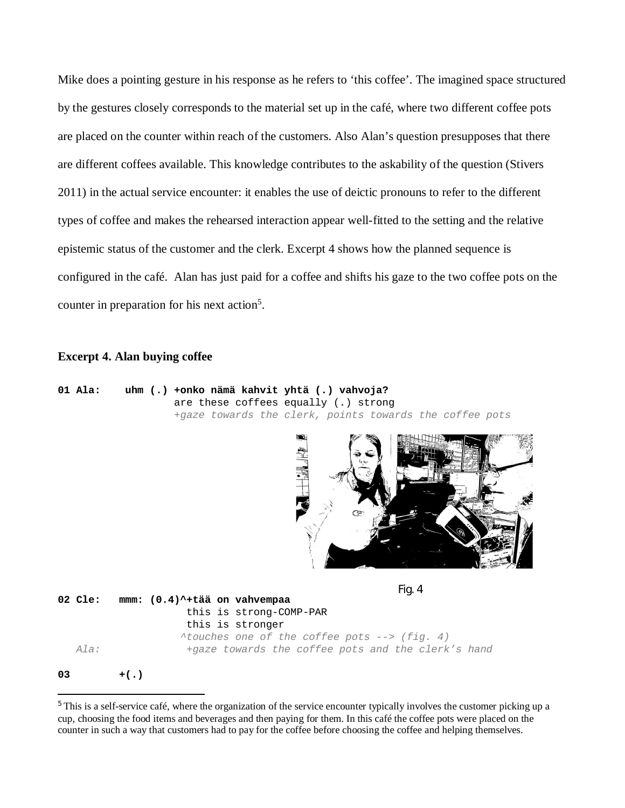Mike does a pointing gesture in his response as he refers to 'this coffee'. The imagined space structured by the gestures closely corresponds to the material set up in the café, where two different coffee pots are placed on the counter within reach of the customers. Also Alan's question presupposes that there are different coffees available. This knowledge contributes to the askability of the question (Stivers 2011) in the actual service encounter: it enables the use of deictic pronouns to refer to the different types of coffee and makes the rehearsed interaction appear well-fitted to the setting and the relative epistemic status of the customer and the clerk. Excerpt 4 shows how the planned sequence is configured in the café. Alan has just paid for a coffee and shifts his gaze to the two coffee pots on the counter in preparation for his next action<sup>[5](#page-18-0)</sup>.

#### **Excerpt 4. Alan buying coffee**





```
02 Cle: mmm: (0.4)^+tää on vahvempaa
                    this is strong-COMP-PAR
                    this is stronger
                   ^touches one of the coffee pots --> (fig. 4)
   Ala: +gaze towards the coffee pots and the clerk's hand
03 +(.)
                                                    Fig. 4
```
<span id="page-18-0"></span> $5$  This is a self-service café, where the organization of the service encounter typically involves the customer picking up a cup, choosing the food items and beverages and then paying for them. In this café the coffee pots were placed on the counter in such a way that customers had to pay for the coffee before choosing the coffee and helping themselves.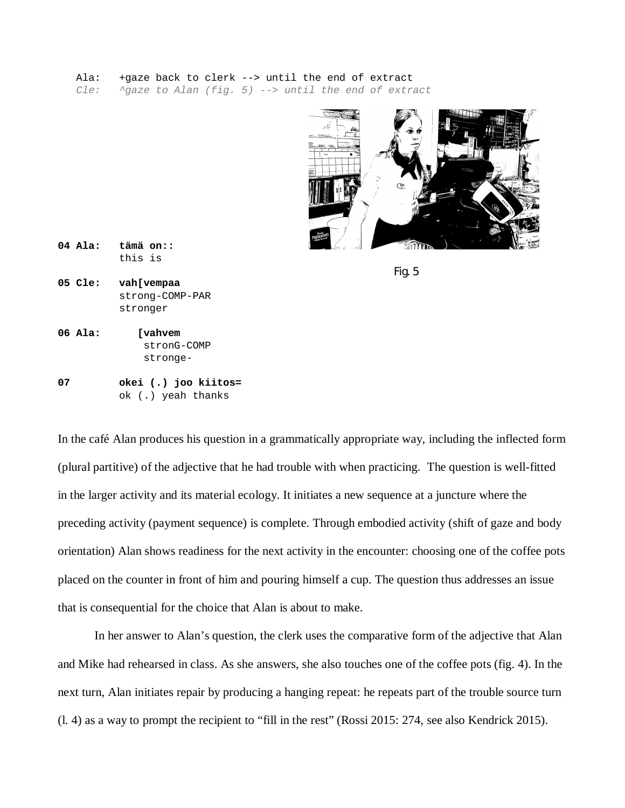#### Ala: +gaze back to clerk --> until the end of extract

 *Cle: ^gaze to Alan (fig. 5) --> until the end of extract*





- **04 Ala: tämä on::** this is
- **05 Cle: vah[vempaa** strong-COMP-PAR stronger
- **06 Ala: [vahvem** stronG-COMP stronge-
- **07 okei (.) joo kiitos=** ok (.) yeah thanks

In the café Alan produces his question in a grammatically appropriate way, including the inflected form (plural partitive) of the adjective that he had trouble with when practicing. The question is well-fitted in the larger activity and its material ecology. It initiates a new sequence at a juncture where the preceding activity (payment sequence) is complete. Through embodied activity (shift of gaze and body orientation) Alan shows readiness for the next activity in the encounter: choosing one of the coffee pots placed on the counter in front of him and pouring himself a cup. The question thus addresses an issue that is consequential for the choice that Alan is about to make.

In her answer to Alan's question, the clerk uses the comparative form of the adjective that Alan and Mike had rehearsed in class. As she answers, she also touches one of the coffee pots (fig. 4). In the next turn, Alan initiates repair by producing a hanging repeat: he repeats part of the trouble source turn (l. 4) as a way to prompt the recipient to "fill in the rest" (Rossi 2015: 274, see also Kendrick 2015).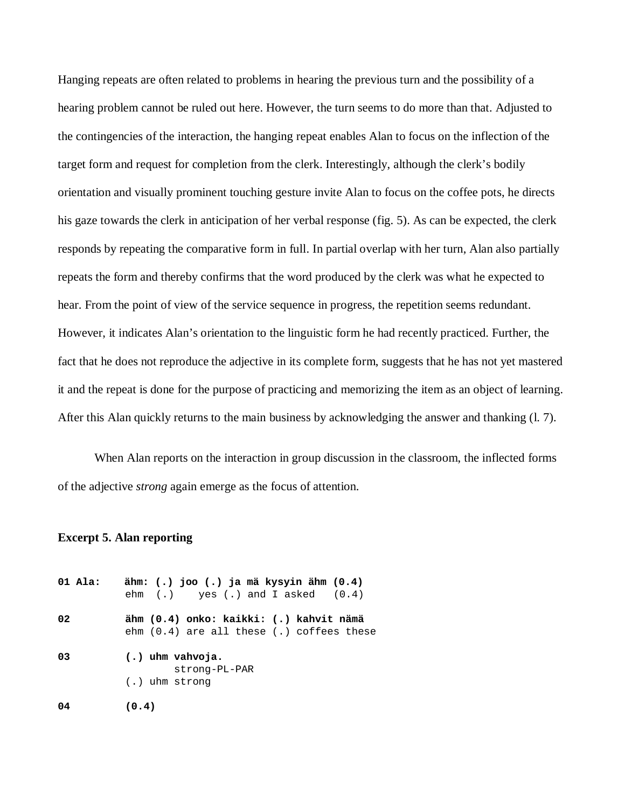Hanging repeats are often related to problems in hearing the previous turn and the possibility of a hearing problem cannot be ruled out here. However, the turn seems to do more than that. Adjusted to the contingencies of the interaction, the hanging repeat enables Alan to focus on the inflection of the target form and request for completion from the clerk. Interestingly, although the clerk's bodily orientation and visually prominent touching gesture invite Alan to focus on the coffee pots, he directs his gaze towards the clerk in anticipation of her verbal response (fig. 5). As can be expected, the clerk responds by repeating the comparative form in full. In partial overlap with her turn, Alan also partially repeats the form and thereby confirms that the word produced by the clerk was what he expected to hear. From the point of view of the service sequence in progress, the repetition seems redundant. However, it indicates Alan's orientation to the linguistic form he had recently practiced. Further, the fact that he does not reproduce the adjective in its complete form, suggests that he has not yet mastered it and the repeat is done for the purpose of practicing and memorizing the item as an object of learning. After this Alan quickly returns to the main business by acknowledging the answer and thanking (l. 7).

When Alan reports on the interaction in group discussion in the classroom, the inflected forms of the adjective *strong* again emerge as the focus of attention.

#### **Excerpt 5. Alan reporting**

| $01$ Ala: | ähm: (.) joo (.) ja mä kysyin ähm (0.4)<br>$ehm$ (.) yes (.) and I asked $(0.4)$           |
|-----------|--------------------------------------------------------------------------------------------|
| 02        | ähm (0.4) onko: kaikki: (.) kahvit nämä<br>$ehm$ $(0.4)$ are all these $(.)$ coffees these |
| 03        | $(.)$ uhm vahvoja.<br>strong-PL-PAR<br>$(.)$ uhm strong                                    |
| 04        | (0.4)                                                                                      |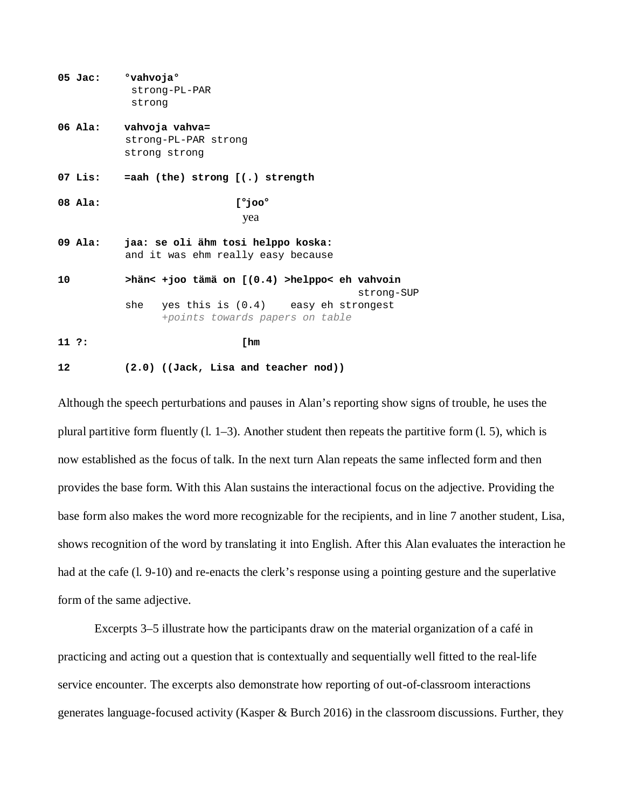**05 Jac: °vahvoja°** strong-PL-PAR strong **06 Ala: vahvoja vahva=** strong-PL-PAR strong strong strong **07 Lis: =aah (the) strong [(.) strength 08 Ala: [°joo°** yea **09 Ala: jaa: se oli ähm tosi helppo koska:** and it was ehm really easy because **10 >hän< +joo tämä on [(0.4) >helppo< eh vahvoin** strong-SUP she yes this is (0.4) easy eh strongest  *+points towards papers on table* **11 ?: [hm 12 (2.0) ((Jack, Lisa and teacher nod))**

Although the speech perturbations and pauses in Alan's reporting show signs of trouble, he uses the plural partitive form fluently (l. 1–3). Another student then repeats the partitive form (l. 5), which is now established as the focus of talk. In the next turn Alan repeats the same inflected form and then provides the base form. With this Alan sustains the interactional focus on the adjective. Providing the base form also makes the word more recognizable for the recipients, and in line 7 another student, Lisa, shows recognition of the word by translating it into English. After this Alan evaluates the interaction he had at the cafe (l. 9-10) and re-enacts the clerk's response using a pointing gesture and the superlative form of the same adjective.

Excerpts 3–5 illustrate how the participants draw on the material organization of a café in practicing and acting out a question that is contextually and sequentially well fitted to the real-life service encounter. The excerpts also demonstrate how reporting of out-of-classroom interactions generates language-focused activity (Kasper & Burch 2016) in the classroom discussions. Further, they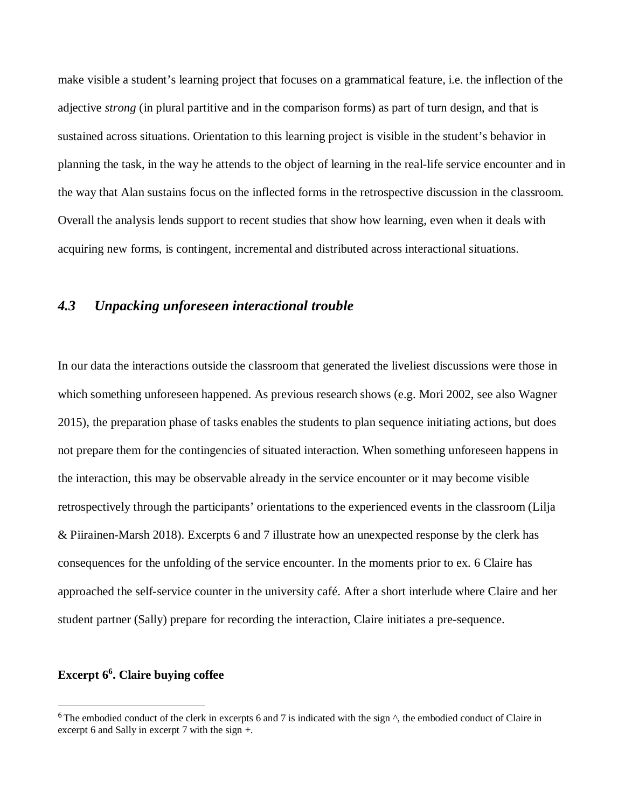make visible a student's learning project that focuses on a grammatical feature, i.e. the inflection of the adjective *strong* (in plural partitive and in the comparison forms) as part of turn design, and that is sustained across situations. Orientation to this learning project is visible in the student's behavior in planning the task, in the way he attends to the object of learning in the real-life service encounter and in the way that Alan sustains focus on the inflected forms in the retrospective discussion in the classroom. Overall the analysis lends support to recent studies that show how learning, even when it deals with acquiring new forms, is contingent, incremental and distributed across interactional situations.

### *4.3 Unpacking unforeseen interactional trouble*

In our data the interactions outside the classroom that generated the liveliest discussions were those in which something unforeseen happened. As previous research shows (e.g. Mori 2002, see also Wagner 2015), the preparation phase of tasks enables the students to plan sequence initiating actions, but does not prepare them for the contingencies of situated interaction. When something unforeseen happens in the interaction, this may be observable already in the service encounter or it may become visible retrospectively through the participants' orientations to the experienced events in the classroom (Lilja & Piirainen-Marsh 2018). Excerpts 6 and 7 illustrate how an unexpected response by the clerk has consequences for the unfolding of the service encounter. In the moments prior to ex. 6 Claire has approached the self-service counter in the university café. After a short interlude where Claire and her student partner (Sally) prepare for recording the interaction, Claire initiates a pre-sequence.

#### **Excerpt 6[6](#page-22-0) . Claire buying coffee**

<span id="page-22-0"></span> $6$  The embodied conduct of the clerk in excerpts 6 and 7 is indicated with the sign  $\land$ , the embodied conduct of Claire in excerpt 6 and Sally in excerpt 7 with the sign +.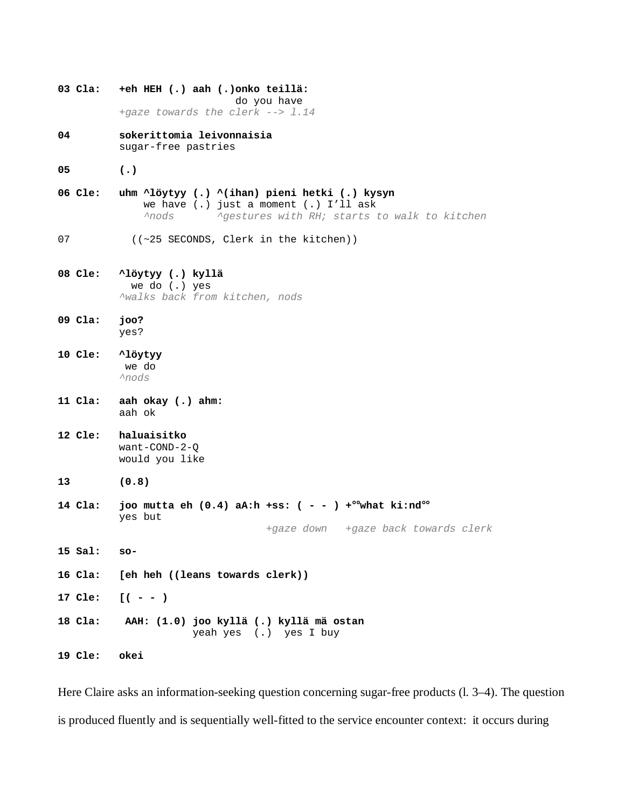*+gaze towards the clerk --> l.14* **04 sokerittomia leivonnaisia** sugar-free pastries **05 (.) 06 Cle: uhm ^löytyy (.) ^(ihan) pieni hetki (.) kysyn** we have (.) just a moment (.) I'll ask  *^nods ^gestures with RH; starts to walk to kitchen* 07 ((~25 SECONDS, Clerk in the kitchen)) **08 Cle: ^löytyy (.) kyllä** we do (.) yes  *^walks back from kitchen, nods* **09 Cla: joo?** yes? **10 Cle: ^löytyy** we do  *^nods* **11 Cla: aah okay (.) ahm:** aah ok **12 Cle: haluaisitko** want-COND-2-Q would you like **13 (0.8) 14 Cla: joo mutta eh (0.4) aA:h +ss: ( - - ) +°°what ki:nd°°** yes but  *+gaze down +gaze back towards clerk* **15 Sal: so-16 Cla: [eh heh ((leans towards clerk)) 17 Cle: [( - - ) 18 Cla: AAH: (1.0) joo kyllä (.) kyllä mä ostan** yeah yes (.) yes I buy

do you have

**03 Cla: +eh HEH (.) aah (.)onko teillä:**

**19 Cle: okei**

Here Claire asks an information-seeking question concerning sugar-free products (l. 3–4). The question is produced fluently and is sequentially well-fitted to the service encounter context: it occurs during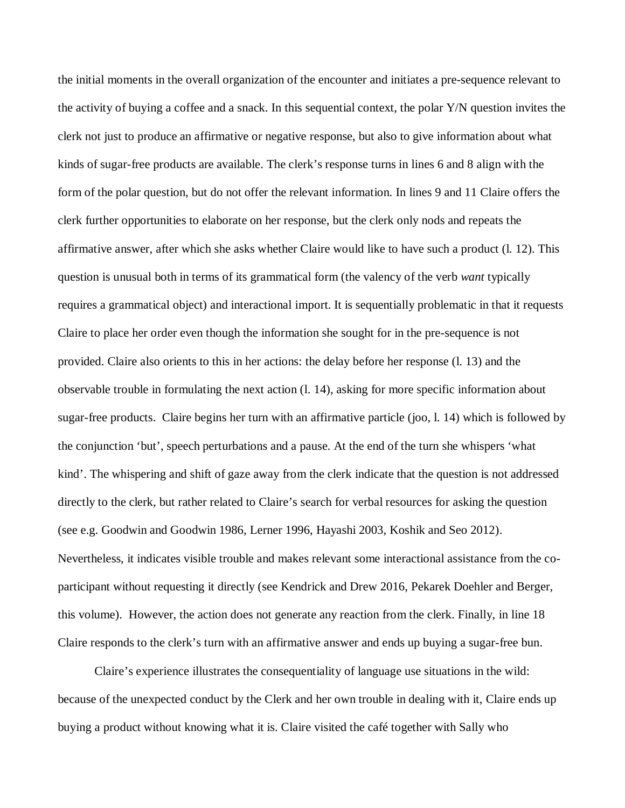the initial moments in the overall organization of the encounter and initiates a pre-sequence relevant to the activity of buying a coffee and a snack. In this sequential context, the polar Y/N question invites the clerk not just to produce an affirmative or negative response, but also to give information about what kinds of sugar-free products are available. The clerk's response turns in lines 6 and 8 align with the form of the polar question, but do not offer the relevant information. In lines 9 and 11 Claire offers the clerk further opportunities to elaborate on her response, but the clerk only nods and repeats the affirmative answer, after which she asks whether Claire would like to have such a product (l. 12). This question is unusual both in terms of its grammatical form (the valency of the verb *want* typically requires a grammatical object) and interactional import. It is sequentially problematic in that it requests Claire to place her order even though the information she sought for in the pre-sequence is not provided. Claire also orients to this in her actions: the delay before her response (l. 13) and the observable trouble in formulating the next action (l. 14), asking for more specific information about sugar-free products. Claire begins her turn with an affirmative particle (joo, l. 14) which is followed by the conjunction 'but', speech perturbations and a pause. At the end of the turn she whispers 'what kind'. The whispering and shift of gaze away from the clerk indicate that the question is not addressed directly to the clerk, but rather related to Claire's search for verbal resources for asking the question (see e.g. Goodwin and Goodwin 1986, Lerner 1996, Hayashi 2003, Koshik and Seo 2012). Nevertheless, it indicates visible trouble and makes relevant some interactional assistance from the coparticipant without requesting it directly (see Kendrick and Drew 2016, Pekarek Doehler and Berger, this volume). However, the action does not generate any reaction from the clerk. Finally, in line 18 Claire responds to the clerk's turn with an affirmative answer and ends up buying a sugar-free bun.

Claire's experience illustrates the consequentiality of language use situations in the wild: because of the unexpected conduct by the Clerk and her own trouble in dealing with it, Claire ends up buying a product without knowing what it is. Claire visited the café together with Sally who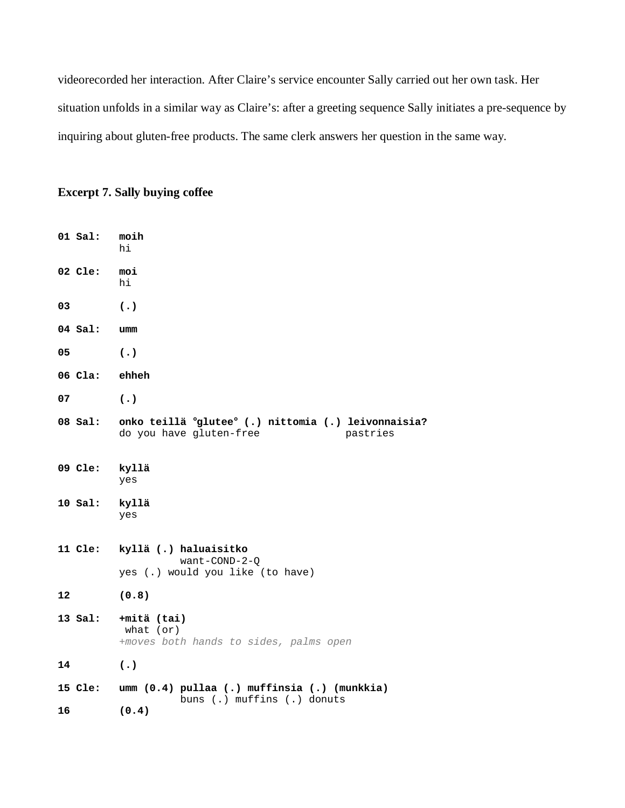videorecorded her interaction. After Claire's service encounter Sally carried out her own task. Her situation unfolds in a similar way as Claire's: after a greeting sequence Sally initiates a pre-sequence by inquiring about gluten-free products. The same clerk answers her question in the same way.

### **Excerpt 7. Sally buying coffee**

|    | $01$ Sal:     | moih<br>hi                                                                                         |
|----|---------------|----------------------------------------------------------------------------------------------------|
|    | 02 Cle:       | moi<br>hi                                                                                          |
| 03 |               | $(\cdot)$                                                                                          |
|    | $04$ Sal:     | umm                                                                                                |
| 05 |               | $\left( . \right)$                                                                                 |
|    | 06 Cla: ehheh |                                                                                                    |
| 07 |               | $\left( . \right)$                                                                                 |
|    |               | 08 Sal: onko teillä °glutee° (.) nittomia (.) leivonnaisia?<br>do you have gluten-free<br>pastries |
|    | 09 Cle:       | kyllä<br>yes                                                                                       |
|    | $10$ Sal:     | kyllä<br>yes                                                                                       |
|    | 11 Cle:       | kyllä (.) haluaisitko<br>want-COND-2-Q<br>yes (.) would you like (to have)                         |
| 12 |               | (0.8)                                                                                              |
|    | 13 Sal:       | +mitä (tai)<br>what $(or)$<br>+moves both hands to sides, palms open                               |
| 14 |               | $(\cdot)$                                                                                          |
|    |               | 15 Cle: umm (0.4) pullaa (.) muffinsia (.) (munkkia)<br>buns (.) muffins (.) donuts                |
| 16 |               | (0.4)                                                                                              |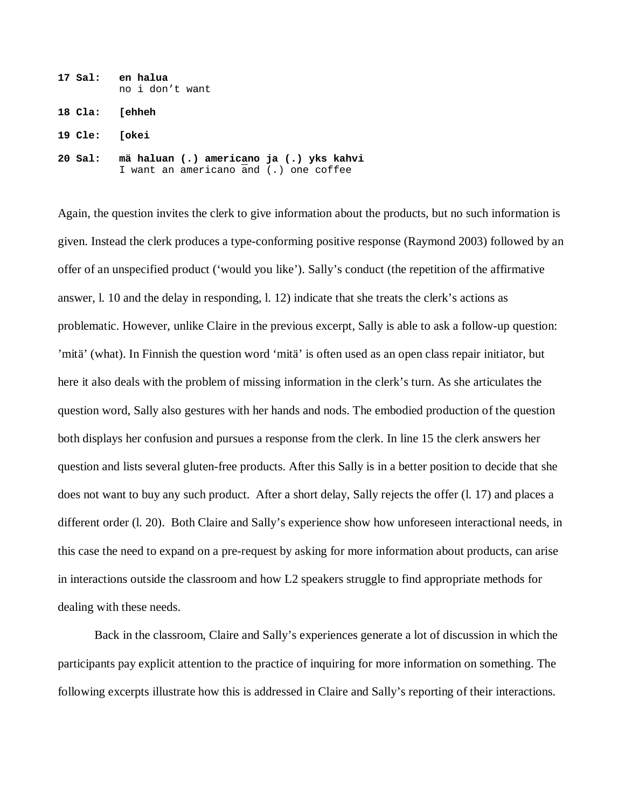|                | 17 Sal: en halua<br>no i don't want                                                |
|----------------|------------------------------------------------------------------------------------|
| 18 Cla: [ehheh |                                                                                    |
| 19 Cle: [okei  |                                                                                    |
| $20$ Sal:      | mä haluan (.) americano ja (.) yks kahvi<br>I want an americano and (.) one coffee |

Again, the question invites the clerk to give information about the products, but no such information is given. Instead the clerk produces a type-conforming positive response (Raymond 2003) followed by an offer of an unspecified product ('would you like'). Sally's conduct (the repetition of the affirmative answer, l. 10 and the delay in responding, l. 12) indicate that she treats the clerk's actions as problematic. However, unlike Claire in the previous excerpt, Sally is able to ask a follow-up question: 'mitä' (what). In Finnish the question word 'mitä' is often used as an open class repair initiator, but here it also deals with the problem of missing information in the clerk's turn. As she articulates the question word, Sally also gestures with her hands and nods. The embodied production of the question both displays her confusion and pursues a response from the clerk. In line 15 the clerk answers her question and lists several gluten-free products. After this Sally is in a better position to decide that she does not want to buy any such product. After a short delay, Sally rejects the offer (l. 17) and places a different order (l. 20). Both Claire and Sally's experience show how unforeseen interactional needs, in this case the need to expand on a pre-request by asking for more information about products, can arise in interactions outside the classroom and how L2 speakers struggle to find appropriate methods for dealing with these needs.

Back in the classroom, Claire and Sally's experiences generate a lot of discussion in which the participants pay explicit attention to the practice of inquiring for more information on something. The following excerpts illustrate how this is addressed in Claire and Sally's reporting of their interactions.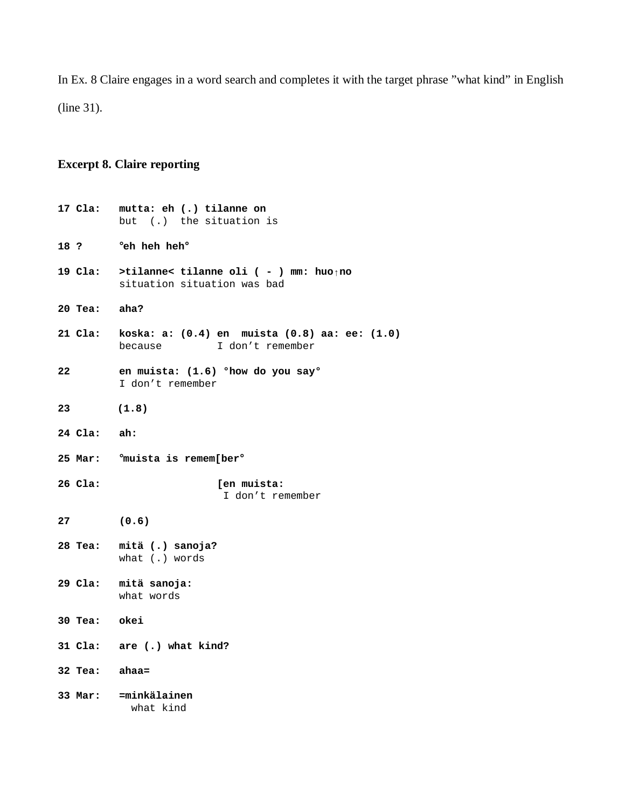In Ex. 8 Claire engages in a word search and completes it with the target phrase "what kind" in English (line 31).

#### **Excerpt 8. Claire reporting**

```
17 Cla: mutta: eh (.) tilanne on
          but (.) the situation is
18 ? °eh heh heh°
19 Cla: >tilanne< tilanne oli ( - ) mm: huo↑no
          situation situation was bad
20 Tea: aha?
21 Cla: koska: a: (0.4) en muista (0.8) aa: ee: (1.0)
          because I don't remember
22 en muista: (1.6) °how do you say°
          I don't remember
23 (1.8)
24 Cla: ah:
25 Mar: °muista is remem[ber°
26 Cla: [en muista:
                         I don't remember
27 (0.6)
28 Tea: mitä (.) sanoja?
          what (.) words
29 Cla: mitä sanoja:
          what words
30 Tea: okei
31 Cla: are (.) what kind?
32 Tea: ahaa=
33 Mar: =minkälainen
           what kind
```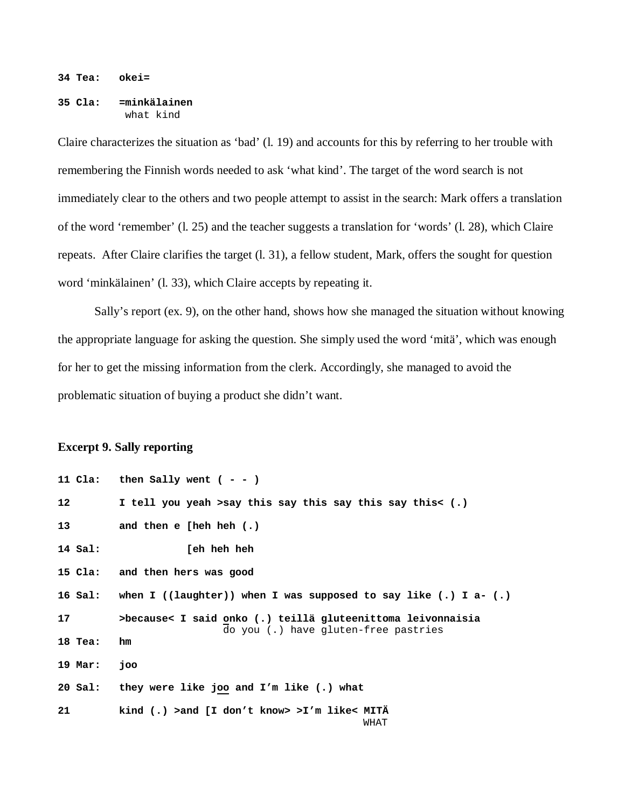#### **34 Tea: okei=**

#### **35 Cla: =minkälainen** what kind

Claire characterizes the situation as 'bad' (l. 19) and accounts for this by referring to her trouble with remembering the Finnish words needed to ask 'what kind'. The target of the word search is not immediately clear to the others and two people attempt to assist in the search: Mark offers a translation of the word 'remember' (l. 25) and the teacher suggests a translation for 'words' (l. 28), which Claire repeats. After Claire clarifies the target (l. 31), a fellow student, Mark, offers the sought for question word 'minkälainen' (l. 33), which Claire accepts by repeating it.

Sally's report (ex. 9), on the other hand, shows how she managed the situation without knowing the appropriate language for asking the question. She simply used the word 'mitä', which was enough for her to get the missing information from the clerk. Accordingly, she managed to avoid the problematic situation of buying a product she didn't want.

#### **Excerpt 9. Sally reporting**

|         |           | 11 Cla: then Sally went $(- - )$                                                                    |
|---------|-----------|-----------------------------------------------------------------------------------------------------|
| $12 \,$ |           | I tell you yeah >say this say this say this say this< $(.)$                                         |
| 13      |           | and then $e$ [heh heh $(.)$                                                                         |
|         | $14$ Sal: | [eh heh heh                                                                                         |
|         |           | 15 Cla: and then hers was good                                                                      |
|         |           | 16 Sal: when I ((laughter)) when I was supposed to say like $(.)$ I a- $(.)$                        |
| 17      |           | >because< I said onko (.) teillä gluteenittoma leivonnaisia<br>do you (.) have gluten-free pastries |
|         | 18 Tea:   | hm                                                                                                  |
|         | $19$ Mar: | joo                                                                                                 |
|         |           | 20 Sal: they were like joo and I'm like (.) what                                                    |
| 21      |           | kind (.) > and [I don't know > I'm like< MITA<br>WHAT                                               |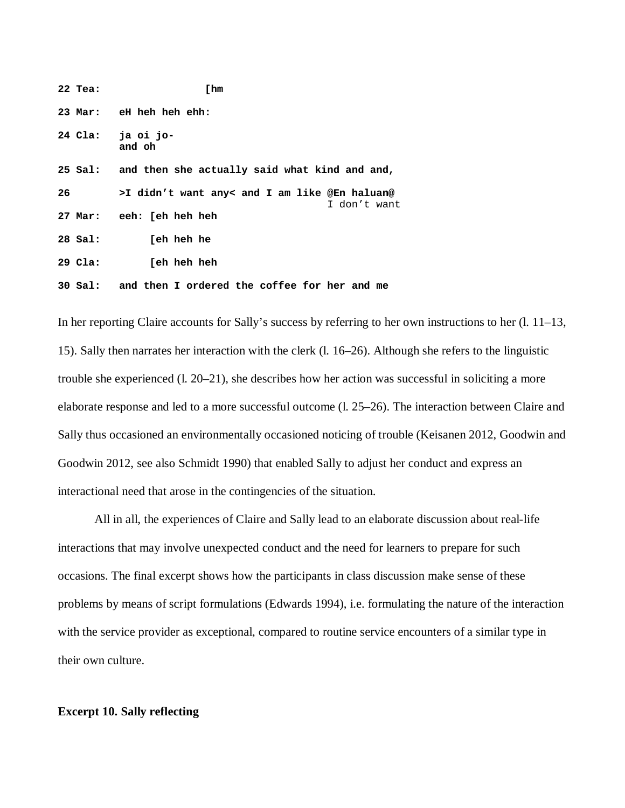**22 Tea: [hm 23 Mar: eH heh heh ehh: 24 Cla: ja oi jo and oh 25 Sal: and then she actually said what kind and and, 26 >I didn't want any< and I am like @En haluan@** I don't want **27 Mar: eeh: [eh heh heh 28 Sal: [eh heh he 29 Cla: [eh heh heh 30 Sal: and then I ordered the coffee for her and me**

In her reporting Claire accounts for Sally's success by referring to her own instructions to her (l. 11–13, 15). Sally then narrates her interaction with the clerk (l. 16–26). Although she refers to the linguistic trouble she experienced (l. 20–21), she describes how her action was successful in soliciting a more elaborate response and led to a more successful outcome (l. 25–26). The interaction between Claire and Sally thus occasioned an environmentally occasioned noticing of trouble (Keisanen 2012, Goodwin and Goodwin 2012, see also Schmidt 1990) that enabled Sally to adjust her conduct and express an interactional need that arose in the contingencies of the situation.

All in all, the experiences of Claire and Sally lead to an elaborate discussion about real-life interactions that may involve unexpected conduct and the need for learners to prepare for such occasions. The final excerpt shows how the participants in class discussion make sense of these problems by means of script formulations (Edwards 1994), i.e. formulating the nature of the interaction with the service provider as exceptional, compared to routine service encounters of a similar type in their own culture.

#### **Excerpt 10. Sally reflecting**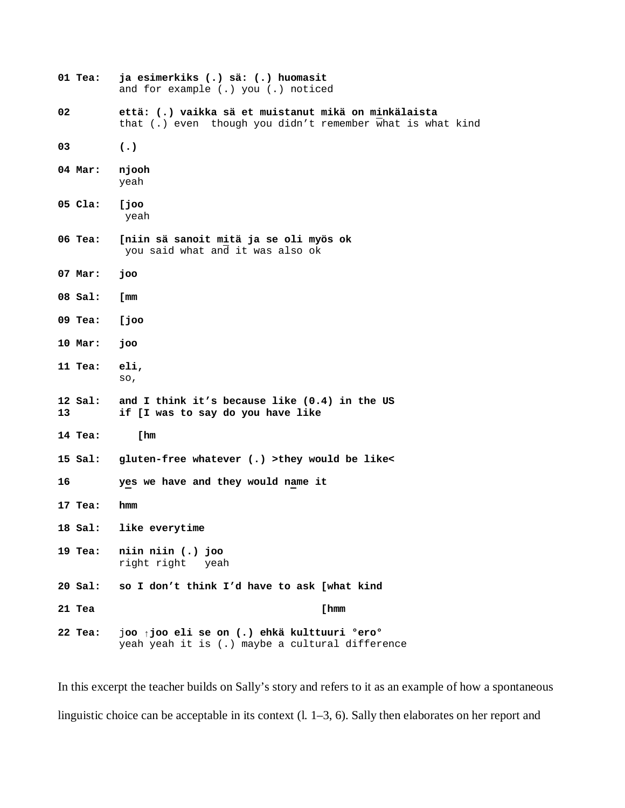| 01 Tea:       | ja esimerkiks (.) sä: (.) huomasit<br>and for example (.) you (.) noticed                                          |
|---------------|--------------------------------------------------------------------------------------------------------------------|
| 02            | että: (.) vaikka sä et muistanut mikä on minkälaista<br>that (.) even though you didn't remember what is what kind |
| 03            | $(\cdot)$                                                                                                          |
| 04 Mar:       | njooh<br>yeah                                                                                                      |
| 05 Cla:       | oot]<br>yeah                                                                                                       |
| 06 Tea:       | [niin sä sanoit mitä ja se oli myös ok<br>you said what and it was also ok                                         |
| 07 Mar:       | joo                                                                                                                |
| $08$ Sal:     | [mm]                                                                                                               |
| 09 Tea:       | oot ]                                                                                                              |
| 10 Mar:       | joo                                                                                                                |
| 11 Tea:       | eli,<br>SO,                                                                                                        |
| 12 Sal:<br>13 | and I think it's because like (0.4) in the US<br>if [I was to say do you have like                                 |
| 14 Tea:       | [hm                                                                                                                |
| 15 Sal:       | gluten-free whatever (.) >they would be like<                                                                      |
| 16            | yes we have and they would name it                                                                                 |
| 17 Tea:       | hmm                                                                                                                |
| $18$ Sal:     | like everytime                                                                                                     |
| 19 Tea:       | niin niin (.) joo<br>right right yeah                                                                              |
| $20$ Sal:     | so I don't think I'd have to ask [what kind                                                                        |
| 21 Tea        | [hmm                                                                                                               |
| 22 Tea:       | joo jjoo eli se on (.) ehkä kulttuuri °ero°<br>yeah yeah it is (.) maybe a cultural difference                     |

In this excerpt the teacher builds on Sally's story and refers to it as an example of how a spontaneous linguistic choice can be acceptable in its context (l. 1–3, 6). Sally then elaborates on her report and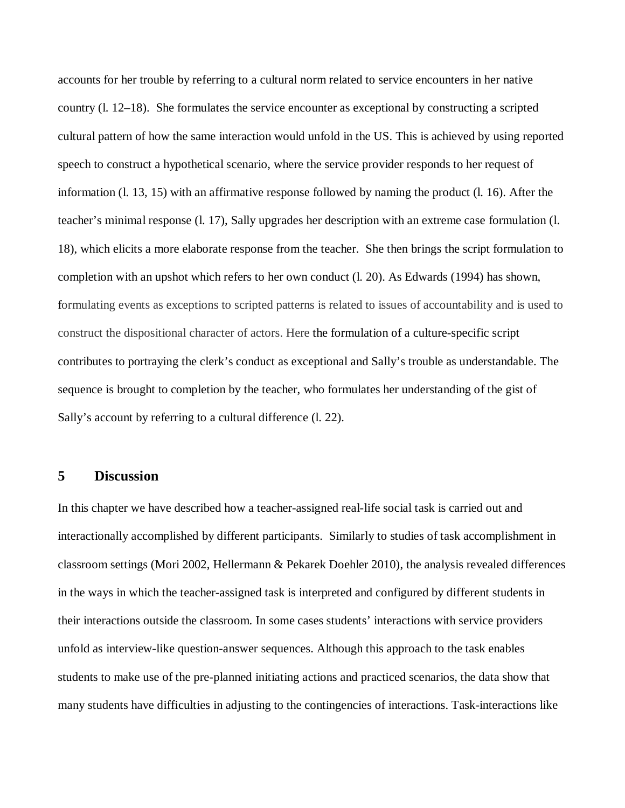accounts for her trouble by referring to a cultural norm related to service encounters in her native country (l. 12–18). She formulates the service encounter as exceptional by constructing a scripted cultural pattern of how the same interaction would unfold in the US. This is achieved by using reported speech to construct a hypothetical scenario, where the service provider responds to her request of information (l. 13, 15) with an affirmative response followed by naming the product (l. 16). After the teacher's minimal response (l. 17), Sally upgrades her description with an extreme case formulation (l. 18), which elicits a more elaborate response from the teacher. She then brings the script formulation to completion with an upshot which refers to her own conduct (l. 20). As Edwards (1994) has shown, formulating events as exceptions to scripted patterns is related to issues of accountability and is used to construct the dispositional character of actors. Here the formulation of a culture-specific script contributes to portraying the clerk's conduct as exceptional and Sally's trouble as understandable. The sequence is brought to completion by the teacher, who formulates her understanding of the gist of Sally's account by referring to a cultural difference  $(1, 22)$ .

### **5 Discussion**

In this chapter we have described how a teacher-assigned real-life social task is carried out and interactionally accomplished by different participants. Similarly to studies of task accomplishment in classroom settings (Mori 2002, Hellermann & Pekarek Doehler 2010), the analysis revealed differences in the ways in which the teacher-assigned task is interpreted and configured by different students in their interactions outside the classroom. In some cases students' interactions with service providers unfold as interview-like question-answer sequences. Although this approach to the task enables students to make use of the pre-planned initiating actions and practiced scenarios, the data show that many students have difficulties in adjusting to the contingencies of interactions. Task-interactions like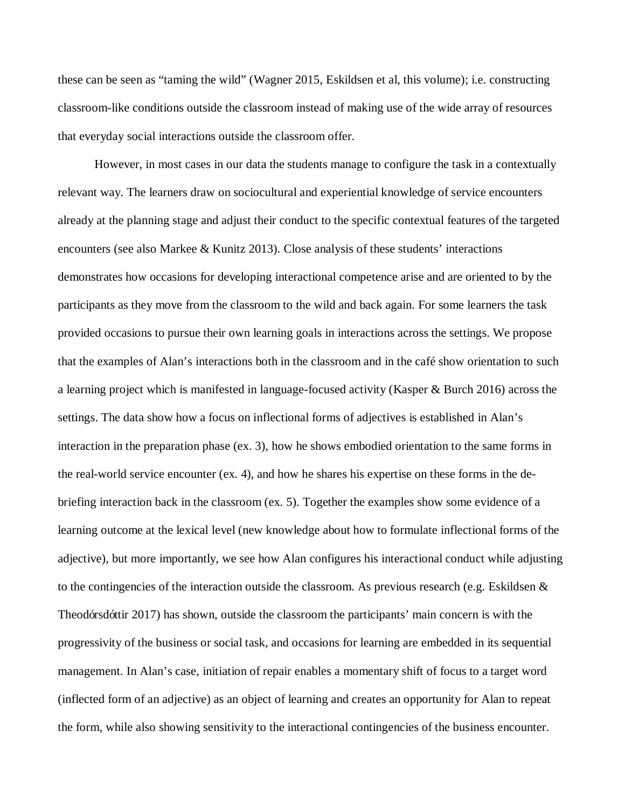these can be seen as "taming the wild" (Wagner 2015, Eskildsen et al, this volume); i.e. constructing classroom-like conditions outside the classroom instead of making use of the wide array of resources that everyday social interactions outside the classroom offer.

However, in most cases in our data the students manage to configure the task in a contextually relevant way. The learners draw on sociocultural and experiential knowledge of service encounters already at the planning stage and adjust their conduct to the specific contextual features of the targeted encounters (see also Markee & Kunitz 2013). Close analysis of these students' interactions demonstrates how occasions for developing interactional competence arise and are oriented to by the participants as they move from the classroom to the wild and back again. For some learners the task provided occasions to pursue their own learning goals in interactions across the settings. We propose that the examples of Alan's interactions both in the classroom and in the café show orientation to such a learning project which is manifested in language-focused activity (Kasper & Burch 2016) across the settings. The data show how a focus on inflectional forms of adjectives is established in Alan's interaction in the preparation phase (ex. 3), how he shows embodied orientation to the same forms in the real-world service encounter (ex. 4), and how he shares his expertise on these forms in the debriefing interaction back in the classroom (ex. 5). Together the examples show some evidence of a learning outcome at the lexical level (new knowledge about how to formulate inflectional forms of the adjective), but more importantly, we see how Alan configures his interactional conduct while adjusting to the contingencies of the interaction outside the classroom. As previous research (e.g. Eskildsen  $\&$ Theodórsdóttir 2017) has shown, outside the classroom the participants' main concern is with the progressivity of the business or social task, and occasions for learning are embedded in its sequential management. In Alan's case, initiation of repair enables a momentary shift of focus to a target word (inflected form of an adjective) as an object of learning and creates an opportunity for Alan to repeat the form, while also showing sensitivity to the interactional contingencies of the business encounter.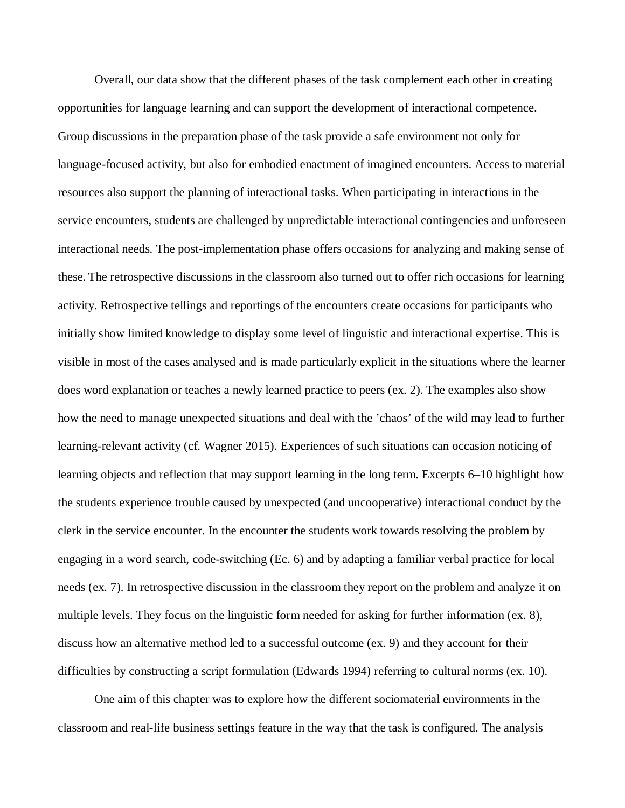Overall, our data show that the different phases of the task complement each other in creating opportunities for language learning and can support the development of interactional competence. Group discussions in the preparation phase of the task provide a safe environment not only for language-focused activity, but also for embodied enactment of imagined encounters. Access to material resources also support the planning of interactional tasks. When participating in interactions in the service encounters, students are challenged by unpredictable interactional contingencies and unforeseen interactional needs. The post-implementation phase offers occasions for analyzing and making sense of these. The retrospective discussions in the classroom also turned out to offer rich occasions for learning activity. Retrospective tellings and reportings of the encounters create occasions for participants who initially show limited knowledge to display some level of linguistic and interactional expertise. This is visible in most of the cases analysed and is made particularly explicit in the situations where the learner does word explanation or teaches a newly learned practice to peers (ex. 2). The examples also show how the need to manage unexpected situations and deal with the 'chaos' of the wild may lead to further learning-relevant activity (cf. Wagner 2015). Experiences of such situations can occasion noticing of learning objects and reflection that may support learning in the long term. Excerpts 6–10 highlight how the students experience trouble caused by unexpected (and uncooperative) interactional conduct by the clerk in the service encounter. In the encounter the students work towards resolving the problem by engaging in a word search, code-switching (Ec. 6) and by adapting a familiar verbal practice for local needs (ex. 7). In retrospective discussion in the classroom they report on the problem and analyze it on multiple levels. They focus on the linguistic form needed for asking for further information (ex. 8), discuss how an alternative method led to a successful outcome (ex. 9) and they account for their difficulties by constructing a script formulation (Edwards 1994) referring to cultural norms (ex. 10).

One aim of this chapter was to explore how the different sociomaterial environments in the classroom and real-life business settings feature in the way that the task is configured. The analysis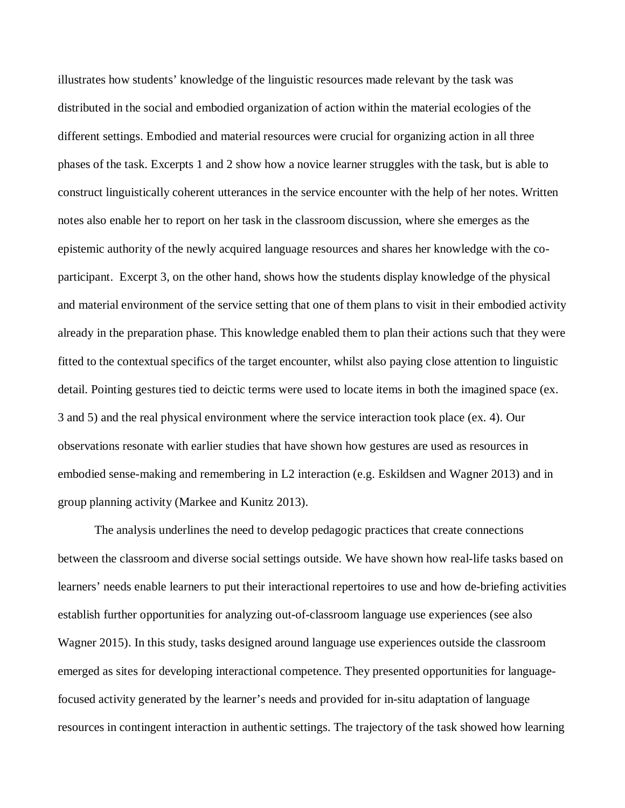illustrates how students' knowledge of the linguistic resources made relevant by the task was distributed in the social and embodied organization of action within the material ecologies of the different settings. Embodied and material resources were crucial for organizing action in all three phases of the task. Excerpts 1 and 2 show how a novice learner struggles with the task, but is able to construct linguistically coherent utterances in the service encounter with the help of her notes. Written notes also enable her to report on her task in the classroom discussion, where she emerges as the epistemic authority of the newly acquired language resources and shares her knowledge with the coparticipant. Excerpt 3, on the other hand, shows how the students display knowledge of the physical and material environment of the service setting that one of them plans to visit in their embodied activity already in the preparation phase. This knowledge enabled them to plan their actions such that they were fitted to the contextual specifics of the target encounter, whilst also paying close attention to linguistic detail. Pointing gestures tied to deictic terms were used to locate items in both the imagined space (ex. 3 and 5) and the real physical environment where the service interaction took place (ex. 4). Our observations resonate with earlier studies that have shown how gestures are used as resources in embodied sense-making and remembering in L2 interaction (e.g. Eskildsen and Wagner 2013) and in group planning activity (Markee and Kunitz 2013).

The analysis underlines the need to develop pedagogic practices that create connections between the classroom and diverse social settings outside. We have shown how real-life tasks based on learners' needs enable learners to put their interactional repertoires to use and how de-briefing activities establish further opportunities for analyzing out-of-classroom language use experiences (see also Wagner 2015). In this study, tasks designed around language use experiences outside the classroom emerged as sites for developing interactional competence. They presented opportunities for languagefocused activity generated by the learner's needs and provided for in-situ adaptation of language resources in contingent interaction in authentic settings. The trajectory of the task showed how learning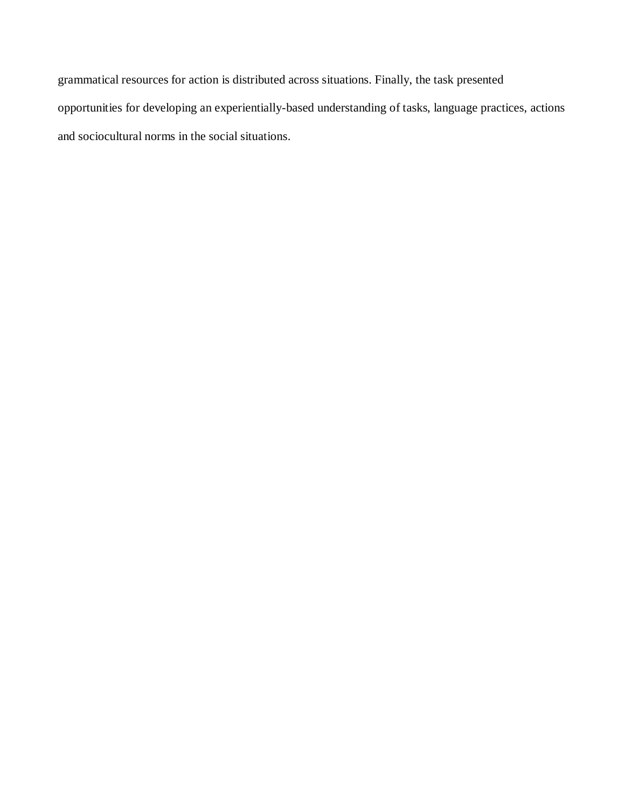grammatical resources for action is distributed across situations. Finally, the task presented opportunities for developing an experientially-based understanding of tasks, language practices, actions and sociocultural norms in the social situations.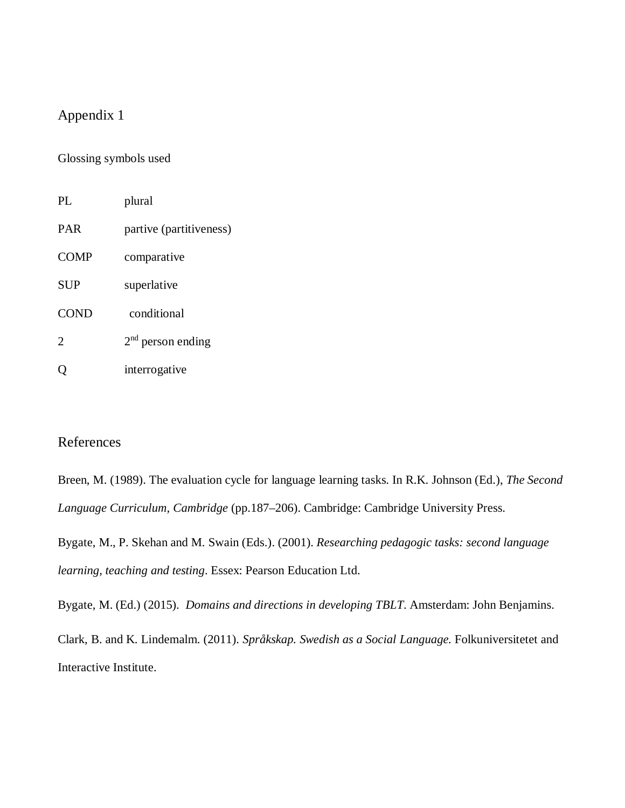## Appendix 1

#### Glossing symbols used

| PL             | plural                  |
|----------------|-------------------------|
| <b>PAR</b>     | partive (partitiveness) |
| <b>COMP</b>    | comparative             |
| <b>SUP</b>     | superlative             |
| <b>COND</b>    | conditional             |
| $\overline{2}$ | $2nd$ person ending     |
|                | interrogative           |

### References

Breen, M. (1989). The evaluation cycle for language learning tasks. In R.K. Johnson (Ed.), *The Second Language Curriculum, Cambridge* (pp.187–206). Cambridge: Cambridge University Press.

Bygate, M., P. Skehan and M. Swain (Eds.). (2001). *Researching pedagogic tasks: second language learning, teaching and testing*. Essex: Pearson Education Ltd.

Bygate, M. (Ed.) (2015). *Domains and directions in developing TBLT*. Amsterdam: John Benjamins.

Clark, B. and K. Lindemalm. (2011). *Språkskap. Swedish as a Social Language.* Folkuniversitetet and Interactive Institute.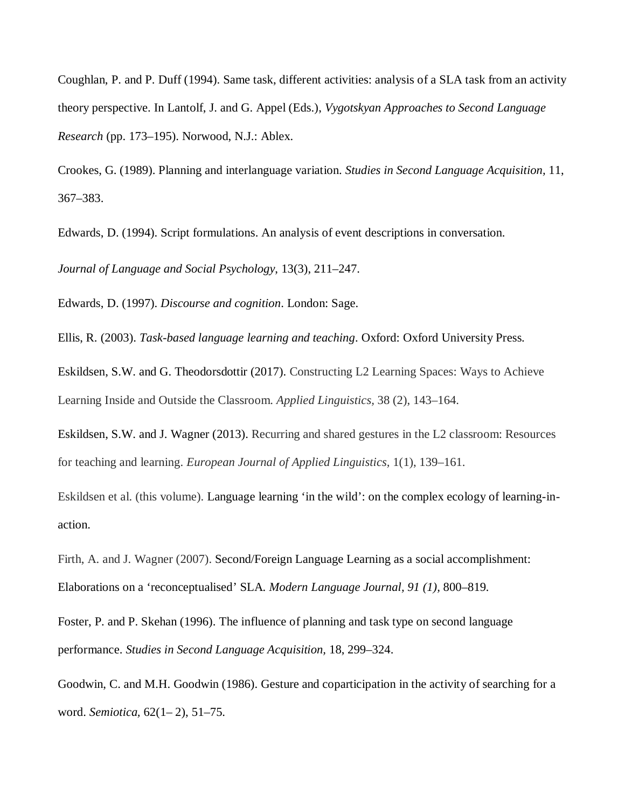Coughlan, P. and P. Duff (1994). Same task, different activities: analysis of a SLA task from an activity theory perspective. In Lantolf, J. and G. Appel (Eds.), *Vygotskyan Approaches to Second Language Research* (pp. 173–195). Norwood, N.J.: Ablex.

Crookes, G. (1989). Planning and interlanguage variation. *Studies in Second Language Acquisition,* 11, 367–383.

Edwards, D. (1994). Script formulations. An analysis of event descriptions in conversation.

*Journal of Language and Social Psychology*, 13(3), 211–247.

Edwards, D. (1997). *Discourse and cognition*. London: Sage.

Ellis, R. (2003). *Task-based language learning and teaching*. Oxford: Oxford University Press.

Eskildsen, S.W. and G. Theodorsdottir (2017). Constructing L2 Learning Spaces: Ways to Achieve Learning Inside and Outside the Classroom. *Applied Linguistics,* 38 (2), 143–164.

Eskildsen, S.W. and J. Wagner (2013). Recurring and shared gestures in the L2 classroom: Resources for teaching and learning. *European Journal of Applied Linguistics,* 1(1), 139–161.

Eskildsen et al. (this volume). Language learning 'in the wild': on the complex ecology of learning-inaction.

Firth, A. and J. Wagner (2007). Second/Foreign Language Learning as a social accomplishment: Elaborations on a 'reconceptualised' SLA. *Modern Language Journal, 91 (1),* 800–819*.*

Foster, P. and P. Skehan (1996). The influence of planning and task type on second language performance. *Studies in Second Language Acquisition,* 18, 299–324.

Goodwin, C. and M.H. Goodwin (1986). Gesture and coparticipation in the activity of searching for a word. *Semiotica,* 62(1– 2), 51–75.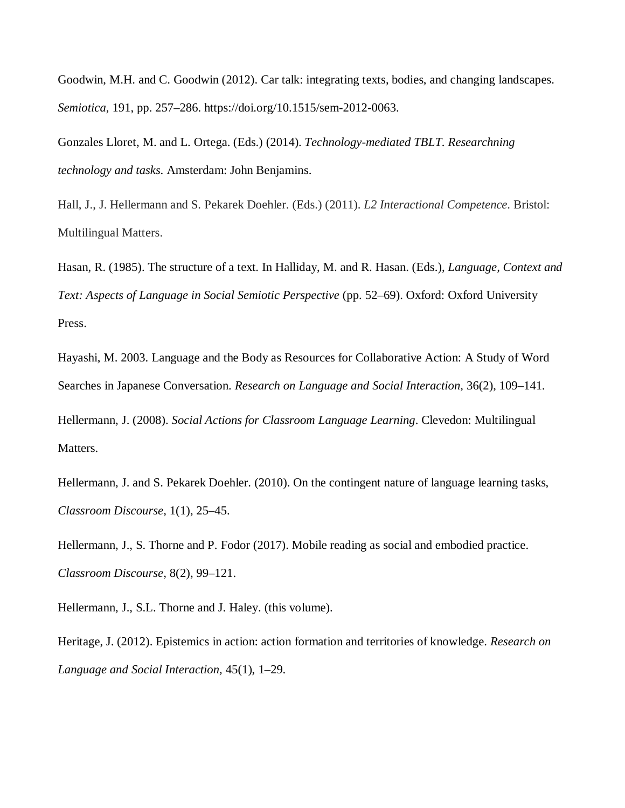Goodwin, M.H. and C. Goodwin (2012). Car talk: integrating texts, bodies, and changing landscapes. *Semiotica*, 191, pp. 257–286. [https://doi.org/10.1515/sem-2012-0063.](https://doi.org/10.1515/sem-2012-0063)

Gonzales Lloret, M. and L. Ortega. (Eds.) (2014). *Technology-mediated TBLT. Researchning technology and tasks*. Amsterdam: John Benjamins.

Hall, J., J. Hellermann and S. Pekarek Doehler. (Eds.) (2011). *L2 Interactional Competence*. Bristol: Multilingual Matters.

Hasan, R. (1985). The structure of a text. In Halliday, M. and R. Hasan. (Eds.), *Language, Context and Text: Aspects of Language in Social Semiotic Perspective* (pp. 52–69). Oxford: Oxford University Press.

Hayashi, M. 2003. Language and the Body as Resources for Collaborative Action: A Study of Word Searches in Japanese Conversation. *Research on Language and Social Interaction,* 36(2), 109–141.

Hellermann, J. (2008). *Social Actions for Classroom Language Learning*. Clevedon: Multilingual Matters.

Hellermann, J. and S. Pekarek Doehler. (2010). On the contingent nature of language learning tasks, *Classroom Discourse,* 1(1), 25–45.

Hellermann, J., S. Thorne and P. Fodor (2017). Mobile reading as social and embodied practice. *Classroom Discourse,* 8(2), 99–121.

Hellermann, J., S.L. Thorne and J. Haley. (this volume).

Heritage, J. (2012). Epistemics in action: action formation and territories of knowledge. *Research on Language and Social Interaction,* 45(1), 1–29.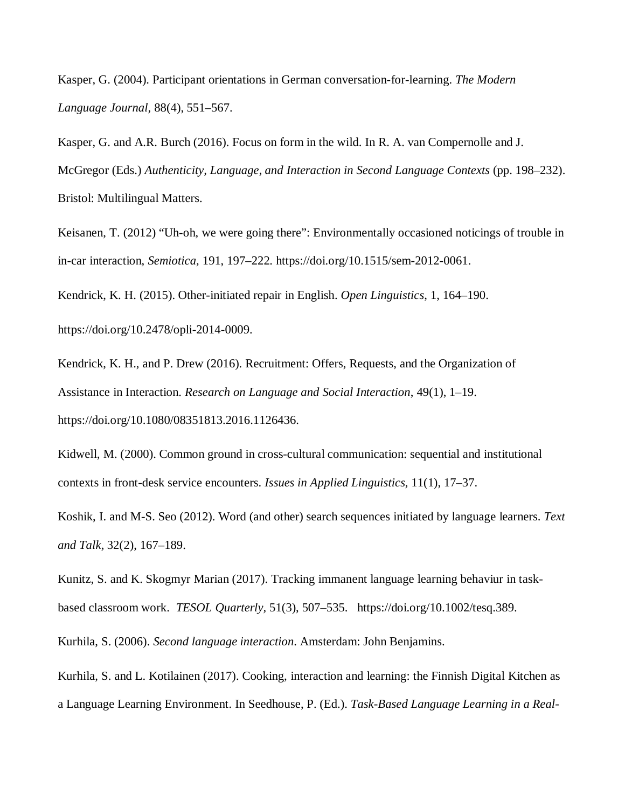Kasper, G. (2004). Participant orientations in German conversation-for-learning. *The Modern Language Journal,* 88(4), 551–567.

Kasper, G. and A.R. Burch (2016). Focus on form in the wild. In R. A. van Compernolle and J. McGregor (Eds.) *Authenticity, Language, and Interaction in Second Language Contexts* (pp. 198–232). Bristol: Multilingual Matters.

Keisanen, T. (2012) "Uh-oh, we were going there": Environmentally occasioned noticings of trouble in in-car interaction, *Semiotica,* 191, 197–222. https://doi.org/10.1515/sem-2012-0061.

Kendrick, K. H. (2015). Other-initiated repair in English. *Open Linguistics*, 1, 164–190.

https://doi.org/10.2478/opli-2014-0009.

Kendrick, K. H., and P. Drew (2016). Recruitment: Offers, Requests, and the Organization of Assistance in Interaction. *Research on Language and Social Interaction*, 49(1), 1–19. https://doi.org/10.1080/08351813.2016.1126436.

Kidwell, M. (2000). Common ground in cross-cultural communication: sequential and institutional contexts in front-desk service encounters. *Issues in Applied Linguistics,* 11(1), 17–37.

Koshik, I. and M-S. Seo (2012). Word (and other) search sequences initiated by language learners. *Text and Talk,* 32(2), 167–189.

Kunitz, S. and K. Skogmyr Marian (2017). Tracking immanent language learning behaviur in taskbased classroom work. *TESOL Quarterly,* 51(3), 507–535. https://doi.org/10.1002/tesq.389.

Kurhila, S. (2006). *Second language interaction*. Amsterdam: John Benjamins.

Kurhila, S. and L. Kotilainen (2017). Cooking, interaction and learning: the Finnish Digital Kitchen as a Language Learning Environment. In Seedhouse, P. (Ed.). *Task-Based Language Learning in a Real-*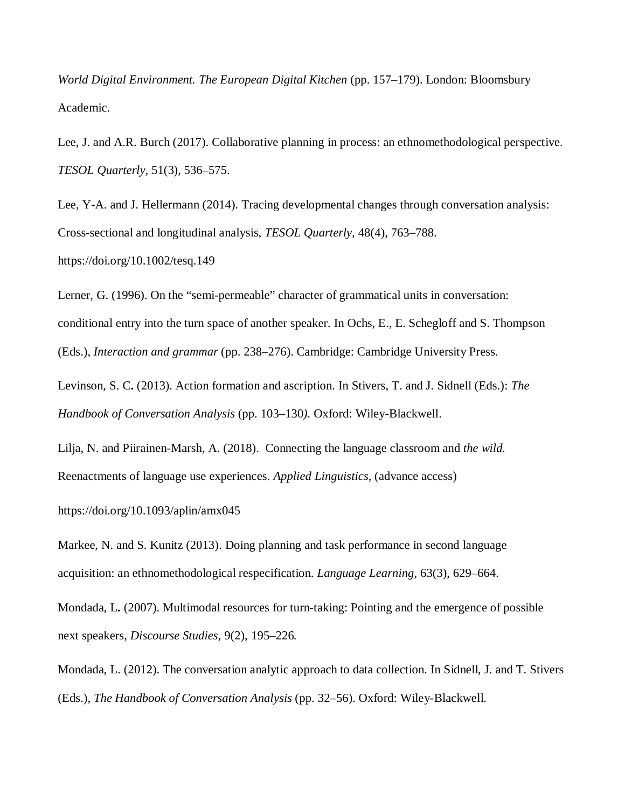*World Digital Environment. The European Digital Kitchen* (pp. 157–179). London: Bloomsbury Academic.

Lee, J. and A.R. Burch (2017). Collaborative planning in process: an ethnomethodological perspective. *TESOL Quarterly,* 51(3), 536–575.

Lee, Y-A. and J. Hellermann (2014). Tracing developmental changes through conversation analysis: Cross-sectional and longitudinal analysis, *TESOL Quarterly,* 48(4), 763–788.

https://doi.org/10.1002/tesq.149

Lerner, G. (1996). On the "semi-permeable" character of grammatical units in conversation: conditional entry into the turn space of another speaker. In Ochs, E., E. Schegloff and S. Thompson (Eds.), *Interaction and grammar* (pp. 238–276). Cambridge: Cambridge University Press.

Levinson, S. C**.** (2013). Action formation and ascription. In Stivers, T. and J. Sidnell (Eds.): *The Handbook of Conversation Analysis* (pp. 103–130*)*. Oxford: Wiley-Blackwell.

Lilja, N. and Piirainen-Marsh, A. (2018). Connecting the language classroom and *the wild.* Reenactments of language use experiences. *Applied Linguistics,* (advance access)

https://doi.org/10.1093/aplin/amx045

Markee, N. and S. Kunitz (2013). Doing planning and task performance in second language acquisition: an ethnomethodological respecification. *Language Learning,* 63(3), 629–664.

Mondada, L**.** (2007). Multimodal resources for turn-taking: Pointing and the emergence of possible next speakers, *Discourse Studies*, 9(2), 195–226*.*

Mondada, L. (2012). The conversation analytic approach to data collection. In Sidnell, J. and T. Stivers (Eds.), *The Handbook of Conversation Analysis* (pp. 32–56). Oxford: Wiley-Blackwell.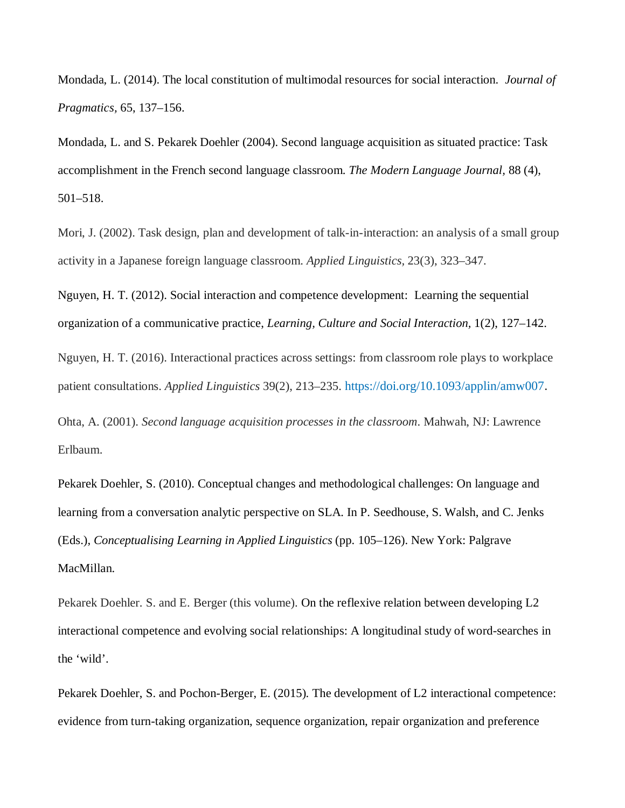Mondada, L. (2014). The local constitution of multimodal resources for social interaction. *Journal of Pragmatics,* 65, 137–156.

Mondada, L. and S. Pekarek Doehler (2004). Second language acquisition as situated practice: Task accomplishment in the French second language classroom. *The Modern Language Journal,* 88 (4), 501–518.

Mori, J. (2002). Task design, plan and development of talk-in-interaction: an analysis of a small group activity in a Japanese foreign language classroom. *Applied Linguistics,* 23(3), 323–347.

Nguyen, H. T. (2012). Social interaction and competence development: Learning the sequential organization of a communicative practice, *Learning, Culture and Social Interaction,* 1(2), 127–142.

Nguyen, H. T. (2016). Interactional practices across settings: from classroom role plays to workplace patient consultations. *Applied Linguistics* 39(2), 213–235. <https://doi.org/10.1093/applin/amw007>.

Ohta, A. (2001). *Second language acquisition processes in the classroom*. Mahwah, NJ: Lawrence Erlbaum.

Pekarek Doehler, S. (2010). Conceptual changes and methodological challenges: On language and learning from a conversation analytic perspective on SLA. In P. Seedhouse, S. Walsh, and C. Jenks (Eds.), *Conceptualising Learning in Applied Linguistics* (pp. 105–126). New York: Palgrave MacMillan.

Pekarek Doehler. S. and E. Berger (this volume). On the reflexive relation between developing L2 interactional competence and evolving social relationships: A longitudinal study of word-searches in the 'wild'.

Pekarek Doehler, S. and Pochon-Berger, E. (2015). The development of L2 interactional competence: evidence from turn-taking organization, sequence organization, repair organization and preference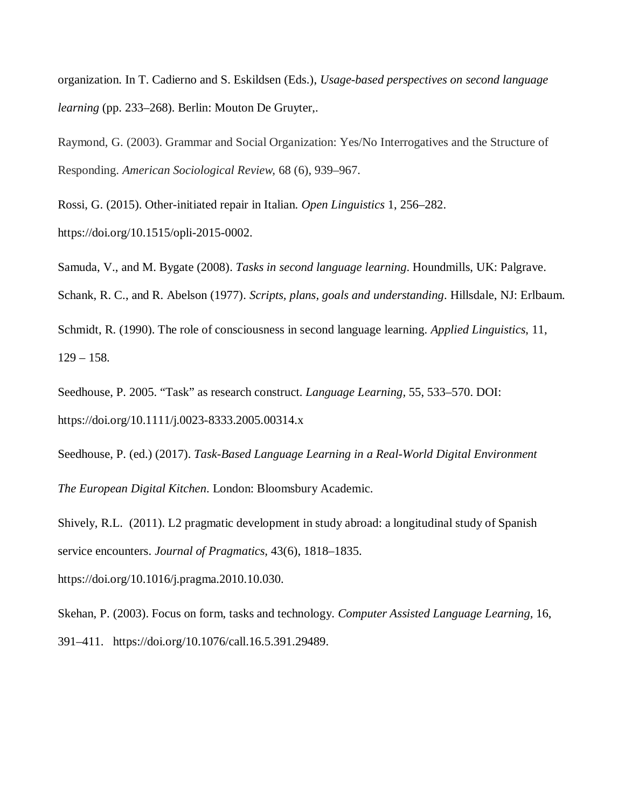organization. In T. Cadierno and S. Eskildsen (Eds.), *Usage-based perspectives on second language learning* (pp. 233–268). Berlin: Mouton De Gruyter,.

Raymond, G. (2003). Grammar and Social Organization: Yes/No Interrogatives and the Structure of Responding. *American Sociological Review,* 68 (6), 939–967.

Rossi, G. (2015). Other-initiated repair in Italian. *Open Linguistics* 1, 256–282. https://doi.org/10.1515/opli-2015-0002.

Samuda, V., and M. Bygate (2008). *Tasks in second language learning*. Houndmills, UK: Palgrave. Schank, R. C., and R. Abelson (1977). *Scripts, plans, goals and understanding*. Hillsdale, NJ: Erlbaum.

Schmidt, R. (1990). The role of consciousness in second language learning. *Applied Linguistics*, 11, 129 – 158.

Seedhouse, P. 2005. "Task" as research construct*. Language Learning,* 55, 533–570. DOI: https://doi.org/10.1111/j.0023-8333.2005.00314.x

Seedhouse, P. (ed.) (2017). *Task-Based Language Learning in a Real-World Digital Environment*

*The European Digital Kitchen*. London: Bloomsbury Academic.

Shively, R.L. (2011). L2 pragmatic development in study abroad: a longitudinal study of Spanish service encounters. *Journal of Pragmatics,* 43(6), 1818–1835.

https://doi.org/10.1016/j.pragma.2010.10.030.

Skehan, P. (2003). Focus on form, tasks and technology. *Computer Assisted Language Learning,* 16, 391–411. https://doi.org/10.1076/call.16.5.391.29489.